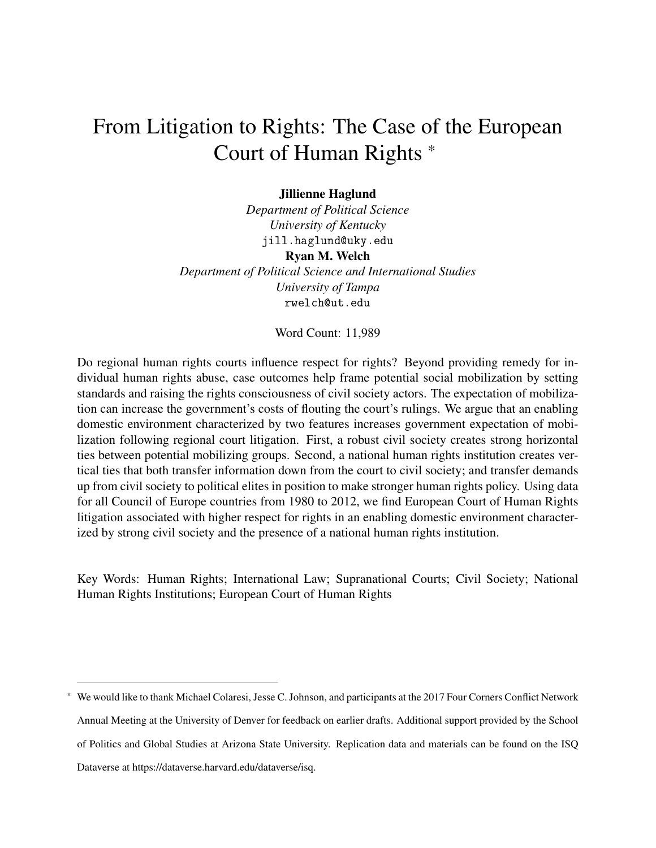# From Litigation to Rights: The Case of the European Court of Human Rights \*

#### Jillienne Haglund

*Department of Political Science University of Kentucky* jill.haglund@uky.edu Ryan M. Welch *Department of Political Science and International Studies University of Tampa* rwelch@ut.edu

Word Count: 11,989

Do regional human rights courts influence respect for rights? Beyond providing remedy for individual human rights abuse, case outcomes help frame potential social mobilization by setting standards and raising the rights consciousness of civil society actors. The expectation of mobilization can increase the government's costs of flouting the court's rulings. We argue that an enabling domestic environment characterized by two features increases government expectation of mobilization following regional court litigation. First, a robust civil society creates strong horizontal ties between potential mobilizing groups. Second, a national human rights institution creates vertical ties that both transfer information down from the court to civil society; and transfer demands up from civil society to political elites in position to make stronger human rights policy. Using data for all Council of Europe countries from 1980 to 2012, we find European Court of Human Rights litigation associated with higher respect for rights in an enabling domestic environment characterized by strong civil society and the presence of a national human rights institution.

Key Words: Human Rights; International Law; Supranational Courts; Civil Society; National Human Rights Institutions; European Court of Human Rights

<sup>\*</sup> We would like to thank Michael Colaresi, Jesse C. Johnson, and participants at the 2017 Four Corners Conflict Network Annual Meeting at the University of Denver for feedback on earlier drafts. Additional support provided by the School of Politics and Global Studies at Arizona State University. Replication data and materials can be found on the ISQ Dataverse at https://dataverse.harvard.edu/dataverse/isq.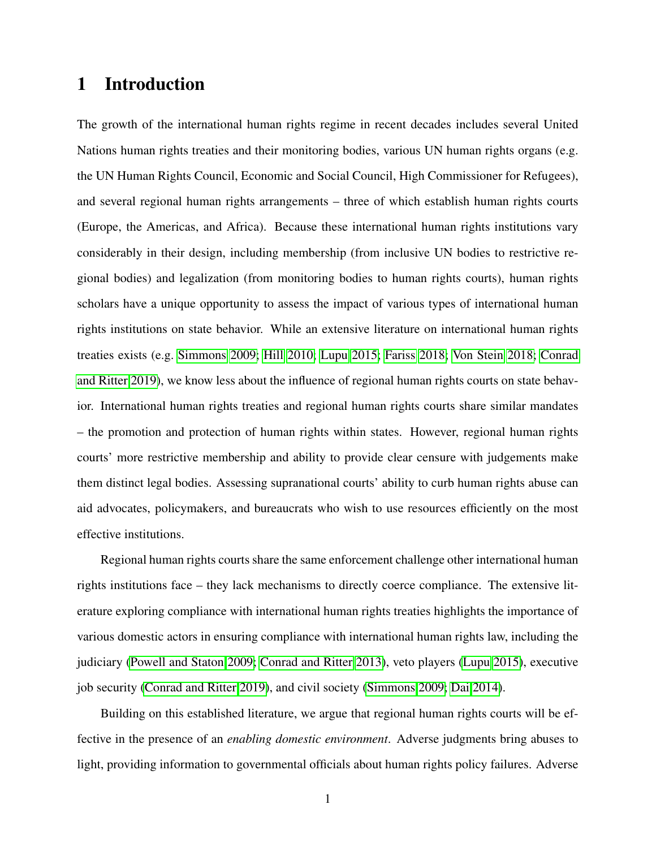# 1 Introduction

The growth of the international human rights regime in recent decades includes several United Nations human rights treaties and their monitoring bodies, various UN human rights organs (e.g. the UN Human Rights Council, Economic and Social Council, High Commissioner for Refugees), and several regional human rights arrangements – three of which establish human rights courts (Europe, the Americas, and Africa). Because these international human rights institutions vary considerably in their design, including membership (from inclusive UN bodies to restrictive regional bodies) and legalization (from monitoring bodies to human rights courts), human rights scholars have a unique opportunity to assess the impact of various types of international human rights institutions on state behavior. While an extensive literature on international human rights treaties exists (e.g. [Simmons 2009;](#page-35-0) [Hill 2010;](#page-32-0) [Lupu 2015;](#page-33-0) [Fariss 2018;](#page-31-0) [Von Stein 2018;](#page-35-1) [Conrad](#page-30-0) [and Ritter 2019\)](#page-30-0), we know less about the influence of regional human rights courts on state behavior. International human rights treaties and regional human rights courts share similar mandates – the promotion and protection of human rights within states. However, regional human rights courts' more restrictive membership and ability to provide clear censure with judgements make them distinct legal bodies. Assessing supranational courts' ability to curb human rights abuse can aid advocates, policymakers, and bureaucrats who wish to use resources efficiently on the most effective institutions.

Regional human rights courts share the same enforcement challenge other international human rights institutions face – they lack mechanisms to directly coerce compliance. The extensive literature exploring compliance with international human rights treaties highlights the importance of various domestic actors in ensuring compliance with international human rights law, including the judiciary [\(Powell and Staton 2009;](#page-34-0) [Conrad and Ritter 2013\)](#page-30-1), veto players [\(Lupu 2015\)](#page-33-0), executive job security [\(Conrad and Ritter 2019\)](#page-30-0), and civil society [\(Simmons 2009;](#page-35-0) [Dai 2014\)](#page-31-1).

Building on this established literature, we argue that regional human rights courts will be effective in the presence of an *enabling domestic environment*. Adverse judgments bring abuses to light, providing information to governmental officials about human rights policy failures. Adverse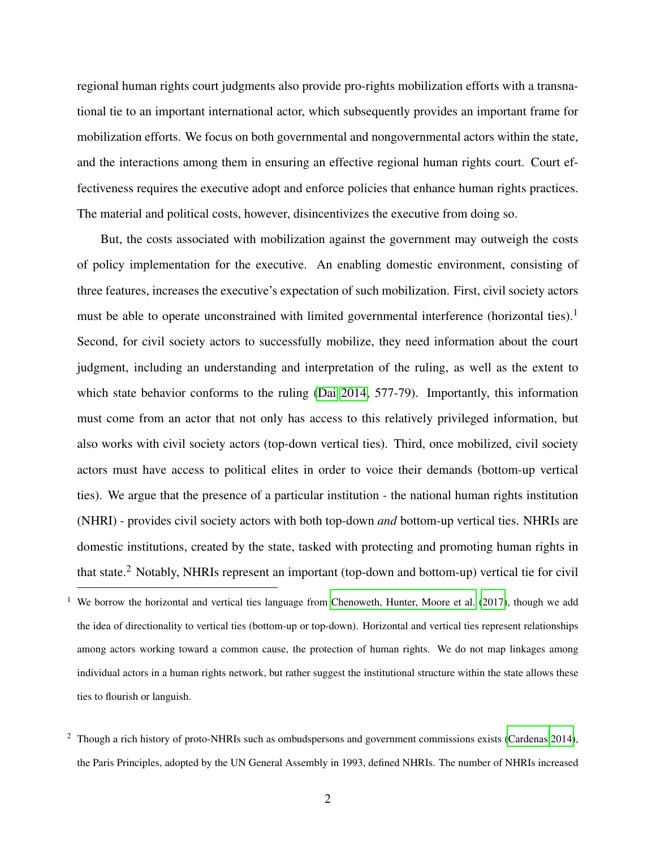regional human rights court judgments also provide pro-rights mobilization efforts with a transnational tie to an important international actor, which subsequently provides an important frame for mobilization efforts. We focus on both governmental and nongovernmental actors within the state, and the interactions among them in ensuring an effective regional human rights court. Court effectiveness requires the executive adopt and enforce policies that enhance human rights practices. The material and political costs, however, disincentivizes the executive from doing so.

But, the costs associated with mobilization against the government may outweigh the costs of policy implementation for the executive. An enabling domestic environment, consisting of three features, increases the executive's expectation of such mobilization. First, civil society actors must be able to operate unconstrained with limited governmental interference (horizontal ties).<sup>1</sup> Second, for civil society actors to successfully mobilize, they need information about the court judgment, including an understanding and interpretation of the ruling, as well as the extent to which state behavior conforms to the ruling [\(Dai 2014,](#page-31-1) 577-79). Importantly, this information must come from an actor that not only has access to this relatively privileged information, but also works with civil society actors (top-down vertical ties). Third, once mobilized, civil society actors must have access to political elites in order to voice their demands (bottom-up vertical ties). We argue that the presence of a particular institution - the national human rights institution (NHRI) - provides civil society actors with both top-down *and* bottom-up vertical ties. NHRIs are domestic institutions, created by the state, tasked with protecting and promoting human rights in that state.<sup>2</sup> Notably, NHRIs represent an important (top-down and bottom-up) vertical tie for civil

We borrow the horizontal and vertical ties language from [Chenoweth, Hunter, Moore et al.](#page-30-2) [\(2017\)](#page-30-2), though we add the idea of directionality to vertical ties (bottom-up or top-down). Horizontal and vertical ties represent relationships among actors working toward a common cause, the protection of human rights. We do not map linkages among individual actors in a human rights network, but rather suggest the institutional structure within the state allows these ties to flourish or languish.

<sup>2</sup> Though a rich history of proto-NHRIs such as ombudspersons and government commissions exists [\(Cardenas 2014\)](#page-29-0), the Paris Principles, adopted by the UN General Assembly in 1993, defined NHRIs. The number of NHRIs increased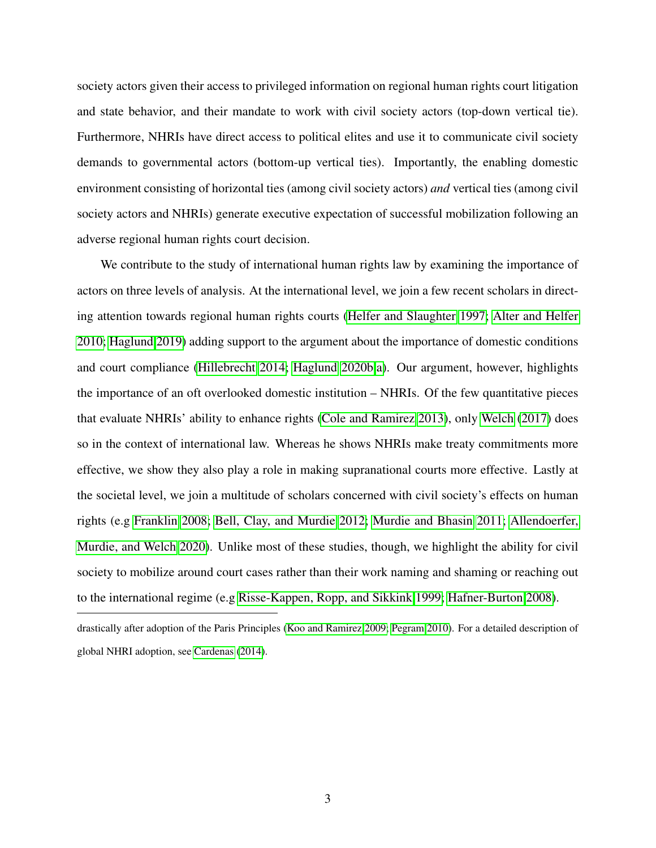society actors given their access to privileged information on regional human rights court litigation and state behavior, and their mandate to work with civil society actors (top-down vertical tie). Furthermore, NHRIs have direct access to political elites and use it to communicate civil society demands to governmental actors (bottom-up vertical ties). Importantly, the enabling domestic environment consisting of horizontal ties (among civil society actors) *and* vertical ties (among civil society actors and NHRIs) generate executive expectation of successful mobilization following an adverse regional human rights court decision.

We contribute to the study of international human rights law by examining the importance of actors on three levels of analysis. At the international level, we join a few recent scholars in directing attention towards regional human rights courts [\(Helfer and Slaughter 1997;](#page-32-1) [Alter and Helfer](#page-29-1) [2010;](#page-29-1) [Haglund 2019\)](#page-32-2) adding support to the argument about the importance of domestic conditions and court compliance [\(Hillebrecht 2014;](#page-33-1) [Haglund 2020b,](#page-32-3)[a\)](#page-32-4). Our argument, however, highlights the importance of an oft overlooked domestic institution – NHRIs. Of the few quantitative pieces that evaluate NHRIs' ability to enhance rights [\(Cole and Ramirez 2013\)](#page-30-3), only [Welch](#page-35-2) [\(2017\)](#page-35-2) does so in the context of international law. Whereas he shows NHRIs make treaty commitments more effective, we show they also play a role in making supranational courts more effective. Lastly at the societal level, we join a multitude of scholars concerned with civil society's effects on human rights (e.g [Franklin 2008;](#page-32-5) [Bell, Clay, and Murdie 2012;](#page-29-2) [Murdie and Bhasin 2011;](#page-34-1) [Allendoerfer,](#page-29-3) [Murdie, and Welch 2020\)](#page-29-3). Unlike most of these studies, though, we highlight the ability for civil society to mobilize around court cases rather than their work naming and shaming or reaching out to the international regime (e.g [Risse-Kappen, Ropp, and Sikkink 1999;](#page-34-2) [Hafner-Burton 2008\)](#page-32-6).

drastically after adoption of the Paris Principles [\(Koo and Ramirez 2009;](#page-33-2) [Pegram 2010\)](#page-34-3). For a detailed description of global NHRI adoption, see [Cardenas](#page-29-0) [\(2014\)](#page-29-0).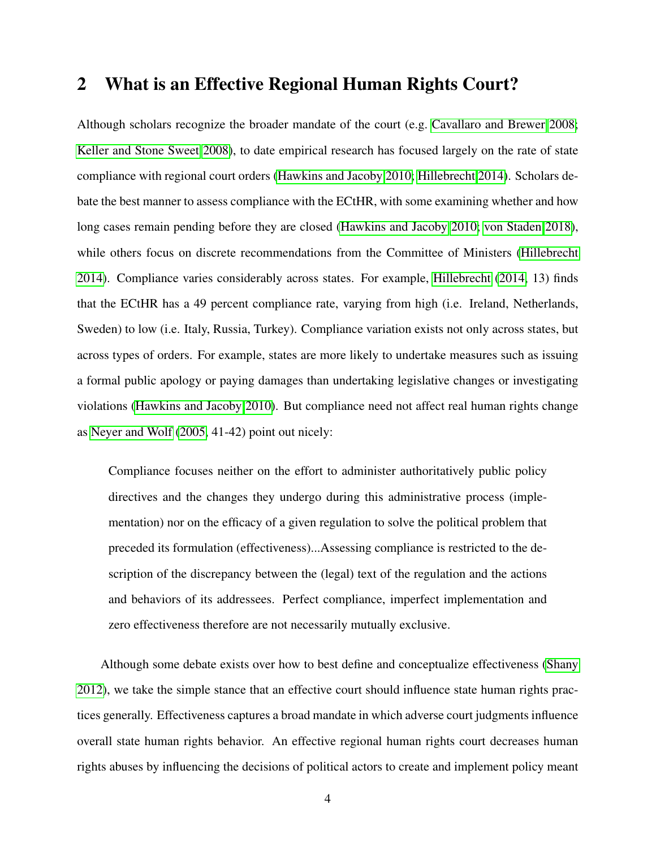### 2 What is an Effective Regional Human Rights Court?

Although scholars recognize the broader mandate of the court (e.g. [Cavallaro and Brewer 2008;](#page-30-4) [Keller and Stone Sweet 2008\)](#page-33-3), to date empirical research has focused largely on the rate of state compliance with regional court orders [\(Hawkins and Jacoby 2010;](#page-32-7) [Hillebrecht 2014\)](#page-33-1). Scholars debate the best manner to assess compliance with the ECtHR, with some examining whether and how long cases remain pending before they are closed [\(Hawkins and Jacoby 2010;](#page-32-7) [von Staden 2018\)](#page-35-3), while others focus on discrete recommendations from the Committee of Ministers [\(Hillebrecht](#page-33-1) [2014\)](#page-33-1). Compliance varies considerably across states. For example, [Hillebrecht](#page-33-1) [\(2014,](#page-33-1) 13) finds that the ECtHR has a 49 percent compliance rate, varying from high (i.e. Ireland, Netherlands, Sweden) to low (i.e. Italy, Russia, Turkey). Compliance variation exists not only across states, but across types of orders. For example, states are more likely to undertake measures such as issuing a formal public apology or paying damages than undertaking legislative changes or investigating violations [\(Hawkins and Jacoby 2010\)](#page-32-7). But compliance need not affect real human rights change as [Neyer and Wolf](#page-34-4) [\(2005,](#page-34-4) 41-42) point out nicely:

Compliance focuses neither on the effort to administer authoritatively public policy directives and the changes they undergo during this administrative process (implementation) nor on the efficacy of a given regulation to solve the political problem that preceded its formulation (effectiveness)...Assessing compliance is restricted to the description of the discrepancy between the (legal) text of the regulation and the actions and behaviors of its addressees. Perfect compliance, imperfect implementation and zero effectiveness therefore are not necessarily mutually exclusive.

Although some debate exists over how to best define and conceptualize effectiveness [\(Shany](#page-35-4) [2012\)](#page-35-4), we take the simple stance that an effective court should influence state human rights practices generally. Effectiveness captures a broad mandate in which adverse court judgments influence overall state human rights behavior. An effective regional human rights court decreases human rights abuses by influencing the decisions of political actors to create and implement policy meant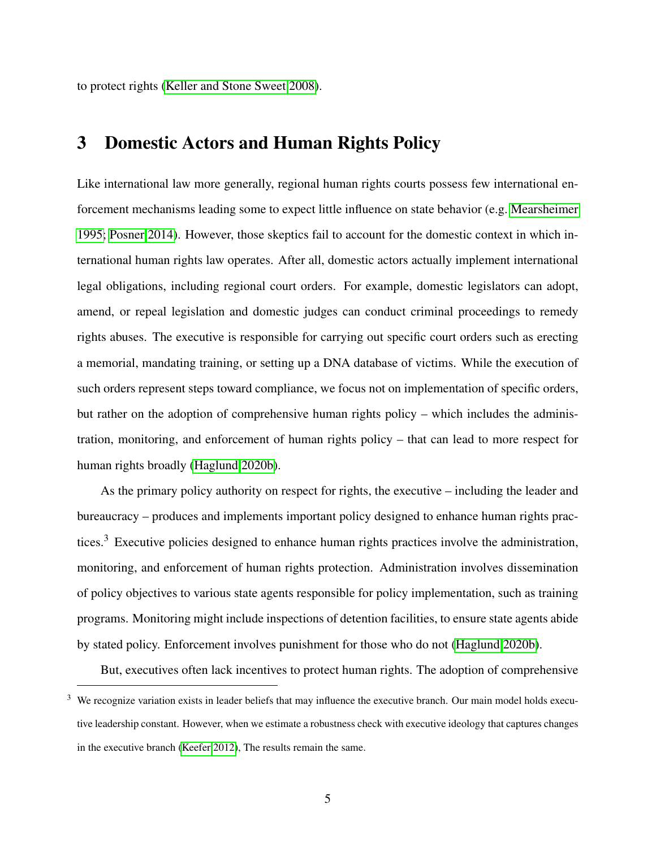to protect rights [\(Keller and Stone Sweet 2008\)](#page-33-3).

# 3 Domestic Actors and Human Rights Policy

Like international law more generally, regional human rights courts possess few international enforcement mechanisms leading some to expect little influence on state behavior (e.g. [Mearsheimer](#page-34-5) [1995;](#page-34-5) [Posner 2014\)](#page-34-6). However, those skeptics fail to account for the domestic context in which international human rights law operates. After all, domestic actors actually implement international legal obligations, including regional court orders. For example, domestic legislators can adopt, amend, or repeal legislation and domestic judges can conduct criminal proceedings to remedy rights abuses. The executive is responsible for carrying out specific court orders such as erecting a memorial, mandating training, or setting up a DNA database of victims. While the execution of such orders represent steps toward compliance, we focus not on implementation of specific orders, but rather on the adoption of comprehensive human rights policy – which includes the administration, monitoring, and enforcement of human rights policy – that can lead to more respect for human rights broadly [\(Haglund 2020b\)](#page-32-3).

As the primary policy authority on respect for rights, the executive – including the leader and bureaucracy – produces and implements important policy designed to enhance human rights practices.<sup>3</sup> Executive policies designed to enhance human rights practices involve the administration, monitoring, and enforcement of human rights protection. Administration involves dissemination of policy objectives to various state agents responsible for policy implementation, such as training programs. Monitoring might include inspections of detention facilities, to ensure state agents abide by stated policy. Enforcement involves punishment for those who do not [\(Haglund 2020b\)](#page-32-3).

But, executives often lack incentives to protect human rights. The adoption of comprehensive

We recognize variation exists in leader beliefs that may influence the executive branch. Our main model holds executive leadership constant. However, when we estimate a robustness check with executive ideology that captures changes in the executive branch [\(Keefer 2012\)](#page-33-4), The results remain the same.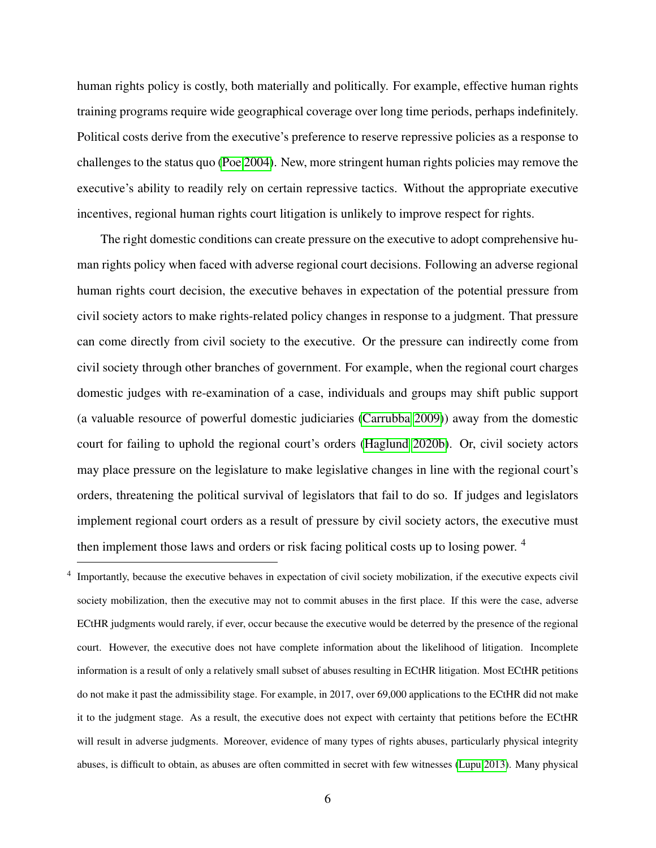human rights policy is costly, both materially and politically. For example, effective human rights training programs require wide geographical coverage over long time periods, perhaps indefinitely. Political costs derive from the executive's preference to reserve repressive policies as a response to challenges to the status quo [\(Poe 2004\)](#page-34-7). New, more stringent human rights policies may remove the executive's ability to readily rely on certain repressive tactics. Without the appropriate executive incentives, regional human rights court litigation is unlikely to improve respect for rights.

The right domestic conditions can create pressure on the executive to adopt comprehensive human rights policy when faced with adverse regional court decisions. Following an adverse regional human rights court decision, the executive behaves in expectation of the potential pressure from civil society actors to make rights-related policy changes in response to a judgment. That pressure can come directly from civil society to the executive. Or the pressure can indirectly come from civil society through other branches of government. For example, when the regional court charges domestic judges with re-examination of a case, individuals and groups may shift public support (a valuable resource of powerful domestic judiciaries [\(Carrubba 2009\)](#page-29-4)) away from the domestic court for failing to uphold the regional court's orders [\(Haglund 2020b\)](#page-32-3). Or, civil society actors may place pressure on the legislature to make legislative changes in line with the regional court's orders, threatening the political survival of legislators that fail to do so. If judges and legislators implement regional court orders as a result of pressure by civil society actors, the executive must then implement those laws and orders or risk facing political costs up to losing power.<sup>4</sup>

4 Importantly, because the executive behaves in expectation of civil society mobilization, if the executive expects civil society mobilization, then the executive may not to commit abuses in the first place. If this were the case, adverse ECtHR judgments would rarely, if ever, occur because the executive would be deterred by the presence of the regional court. However, the executive does not have complete information about the likelihood of litigation. Incomplete information is a result of only a relatively small subset of abuses resulting in ECtHR litigation. Most ECtHR petitions do not make it past the admissibility stage. For example, in 2017, over 69,000 applications to the ECtHR did not make it to the judgment stage. As a result, the executive does not expect with certainty that petitions before the ECtHR will result in adverse judgments. Moreover, evidence of many types of rights abuses, particularly physical integrity abuses, is difficult to obtain, as abuses are often committed in secret with few witnesses [\(Lupu 2013\)](#page-33-5). Many physical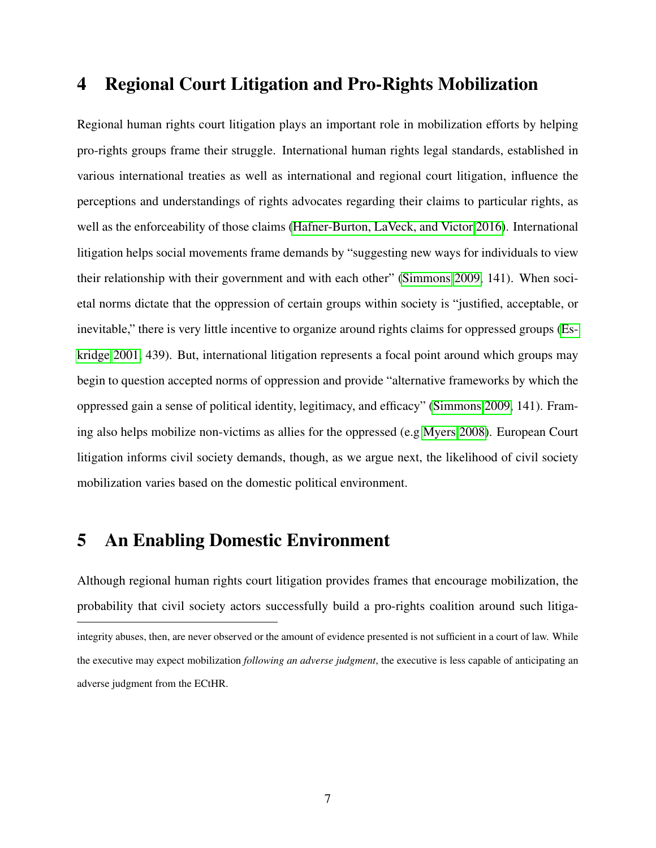## 4 Regional Court Litigation and Pro-Rights Mobilization

Regional human rights court litigation plays an important role in mobilization efforts by helping pro-rights groups frame their struggle. International human rights legal standards, established in various international treaties as well as international and regional court litigation, influence the perceptions and understandings of rights advocates regarding their claims to particular rights, as well as the enforceability of those claims [\(Hafner-Burton, LaVeck, and Victor 2016\)](#page-32-8). International litigation helps social movements frame demands by "suggesting new ways for individuals to view their relationship with their government and with each other" [\(Simmons 2009,](#page-35-0) 141). When societal norms dictate that the oppression of certain groups within society is "justified, acceptable, or inevitable," there is very little incentive to organize around rights claims for oppressed groups [\(Es](#page-31-2)[kridge 2001,](#page-31-2) 439). But, international litigation represents a focal point around which groups may begin to question accepted norms of oppression and provide "alternative frameworks by which the oppressed gain a sense of political identity, legitimacy, and efficacy" [\(Simmons 2009,](#page-35-0) 141). Framing also helps mobilize non-victims as allies for the oppressed (e.g [Myers 2008\)](#page-34-8). European Court litigation informs civil society demands, though, as we argue next, the likelihood of civil society mobilization varies based on the domestic political environment.

# 5 An Enabling Domestic Environment

Although regional human rights court litigation provides frames that encourage mobilization, the probability that civil society actors successfully build a pro-rights coalition around such litigaintegrity abuses, then, are never observed or the amount of evidence presented is not sufficient in a court of law. While the executive may expect mobilization *following an adverse judgment*, the executive is less capable of anticipating an adverse judgment from the ECtHR.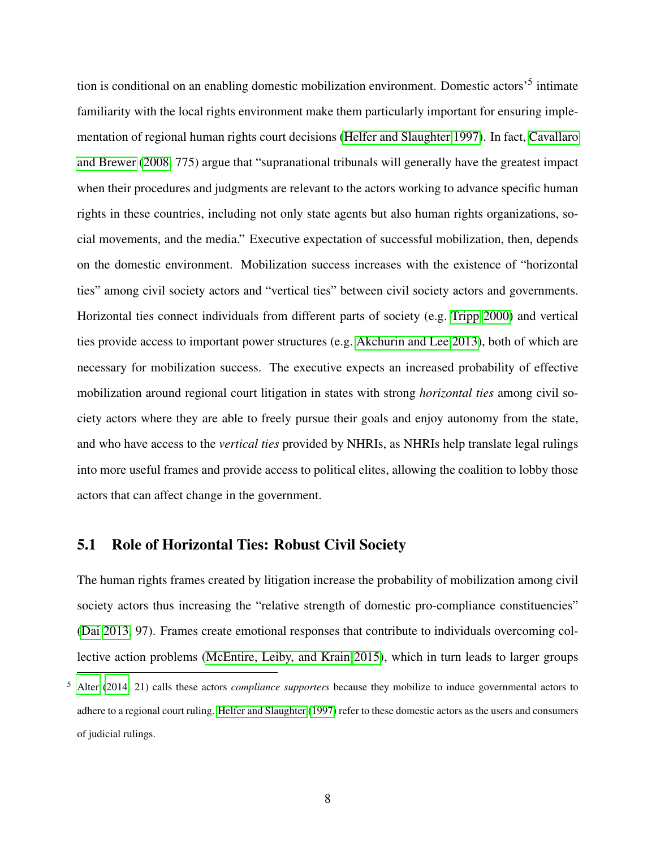tion is conditional on an enabling domestic mobilization environment. Domestic actors<sup>5</sup> intimate familiarity with the local rights environment make them particularly important for ensuring implementation of regional human rights court decisions [\(Helfer and Slaughter 1997\)](#page-32-1). In fact, [Cavallaro](#page-30-4) [and Brewer](#page-30-4) [\(2008,](#page-30-4) 775) argue that "supranational tribunals will generally have the greatest impact when their procedures and judgments are relevant to the actors working to advance specific human rights in these countries, including not only state agents but also human rights organizations, social movements, and the media." Executive expectation of successful mobilization, then, depends on the domestic environment. Mobilization success increases with the existence of "horizontal ties" among civil society actors and "vertical ties" between civil society actors and governments. Horizontal ties connect individuals from different parts of society (e.g. [Tripp 2000\)](#page-35-5) and vertical ties provide access to important power structures (e.g. [Akchurin and Lee 2013\)](#page-29-5), both of which are necessary for mobilization success. The executive expects an increased probability of effective mobilization around regional court litigation in states with strong *horizontal ties* among civil society actors where they are able to freely pursue their goals and enjoy autonomy from the state, and who have access to the *vertical ties* provided by NHRIs, as NHRIs help translate legal rulings into more useful frames and provide access to political elites, allowing the coalition to lobby those actors that can affect change in the government.

#### 5.1 Role of Horizontal Ties: Robust Civil Society

The human rights frames created by litigation increase the probability of mobilization among civil society actors thus increasing the "relative strength of domestic pro-compliance constituencies" [\(Dai 2013,](#page-31-3) 97). Frames create emotional responses that contribute to individuals overcoming collective action problems [\(McEntire, Leiby, and Krain 2015\)](#page-34-9), which in turn leads to larger groups

<sup>5</sup> [Alter](#page-29-6) [\(2014,](#page-29-6) 21) calls these actors *compliance supporters* because they mobilize to induce governmental actors to adhere to a regional court ruling. [Helfer and Slaughter](#page-32-1) [\(1997\)](#page-32-1) refer to these domestic actors as the users and consumers of judicial rulings.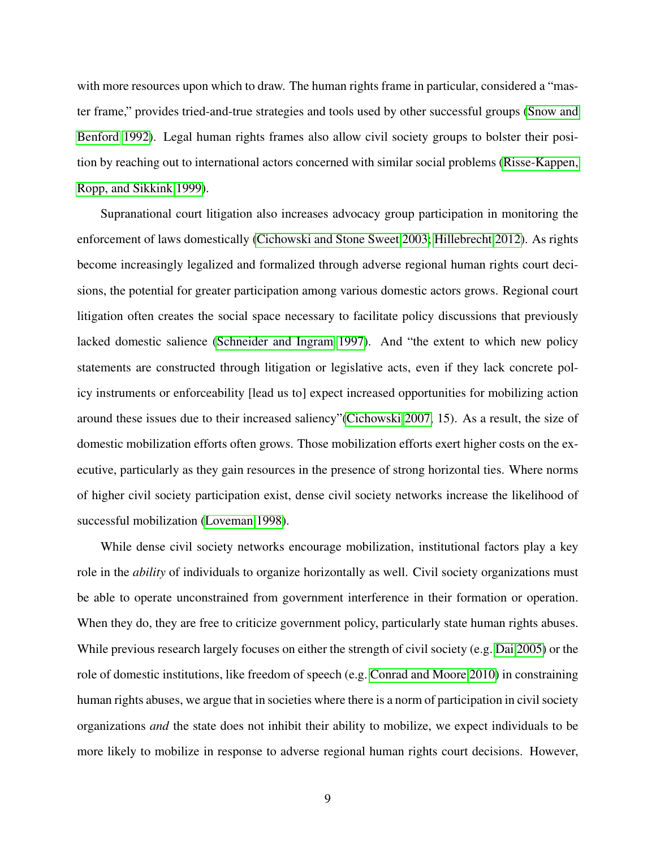with more resources upon which to draw. The human rights frame in particular, considered a "master frame," provides tried-and-true strategies and tools used by other successful groups [\(Snow and](#page-35-6) [Benford 1992\)](#page-35-6). Legal human rights frames also allow civil society groups to bolster their position by reaching out to international actors concerned with similar social problems [\(Risse-Kappen,](#page-34-2) [Ropp, and Sikkink 1999\)](#page-34-2).

Supranational court litigation also increases advocacy group participation in monitoring the enforcement of laws domestically [\(Cichowski and Stone Sweet 2003;](#page-30-5) [Hillebrecht 2012\)](#page-33-6). As rights become increasingly legalized and formalized through adverse regional human rights court decisions, the potential for greater participation among various domestic actors grows. Regional court litigation often creates the social space necessary to facilitate policy discussions that previously lacked domestic salience [\(Schneider and Ingram 1997\)](#page-35-7). And "the extent to which new policy statements are constructed through litigation or legislative acts, even if they lack concrete policy instruments or enforceability [lead us to] expect increased opportunities for mobilizing action around these issues due to their increased saliency"[\(Cichowski 2007,](#page-30-6) 15). As a result, the size of domestic mobilization efforts often grows. Those mobilization efforts exert higher costs on the executive, particularly as they gain resources in the presence of strong horizontal ties. Where norms of higher civil society participation exist, dense civil society networks increase the likelihood of successful mobilization [\(Loveman 1998\)](#page-33-7).

While dense civil society networks encourage mobilization, institutional factors play a key role in the *ability* of individuals to organize horizontally as well. Civil society organizations must be able to operate unconstrained from government interference in their formation or operation. When they do, they are free to criticize government policy, particularly state human rights abuses. While previous research largely focuses on either the strength of civil society (e.g. [Dai 2005\)](#page-31-4) or the role of domestic institutions, like freedom of speech (e.g. [Conrad and Moore 2010\)](#page-30-7) in constraining human rights abuses, we argue that in societies where there is a norm of participation in civil society organizations *and* the state does not inhibit their ability to mobilize, we expect individuals to be more likely to mobilize in response to adverse regional human rights court decisions. However,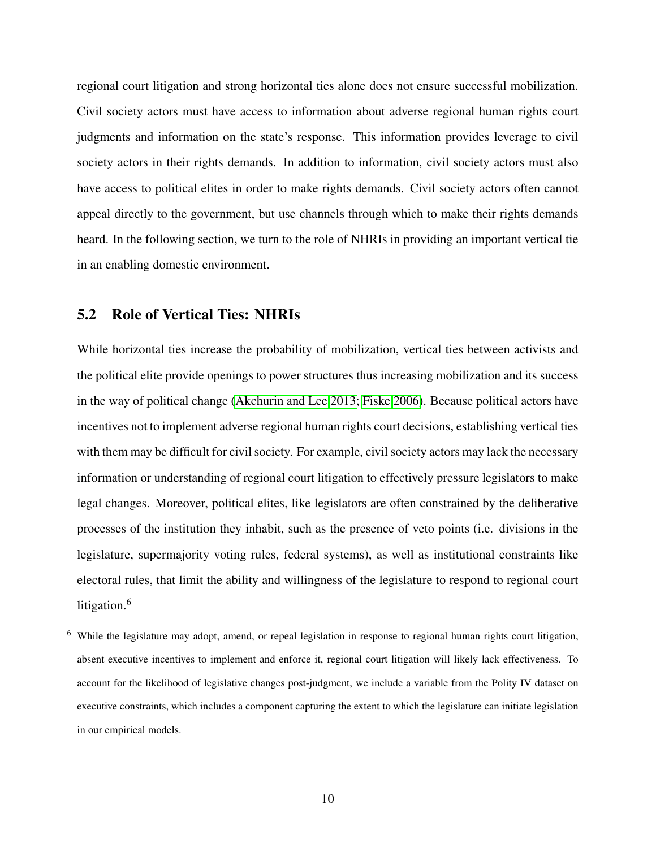regional court litigation and strong horizontal ties alone does not ensure successful mobilization. Civil society actors must have access to information about adverse regional human rights court judgments and information on the state's response. This information provides leverage to civil society actors in their rights demands. In addition to information, civil society actors must also have access to political elites in order to make rights demands. Civil society actors often cannot appeal directly to the government, but use channels through which to make their rights demands heard. In the following section, we turn to the role of NHRIs in providing an important vertical tie in an enabling domestic environment.

### 5.2 Role of Vertical Ties: NHRIs

While horizontal ties increase the probability of mobilization, vertical ties between activists and the political elite provide openings to power structures thus increasing mobilization and its success in the way of political change [\(Akchurin and Lee 2013;](#page-29-5) [Fiske 2006\)](#page-31-5). Because political actors have incentives not to implement adverse regional human rights court decisions, establishing vertical ties with them may be difficult for civil society. For example, civil society actors may lack the necessary information or understanding of regional court litigation to effectively pressure legislators to make legal changes. Moreover, political elites, like legislators are often constrained by the deliberative processes of the institution they inhabit, such as the presence of veto points (i.e. divisions in the legislature, supermajority voting rules, federal systems), as well as institutional constraints like electoral rules, that limit the ability and willingness of the legislature to respond to regional court litigation.<sup>6</sup>

<sup>&</sup>lt;sup>6</sup> While the legislature may adopt, amend, or repeal legislation in response to regional human rights court litigation, absent executive incentives to implement and enforce it, regional court litigation will likely lack effectiveness. To account for the likelihood of legislative changes post-judgment, we include a variable from the Polity IV dataset on executive constraints, which includes a component capturing the extent to which the legislature can initiate legislation in our empirical models.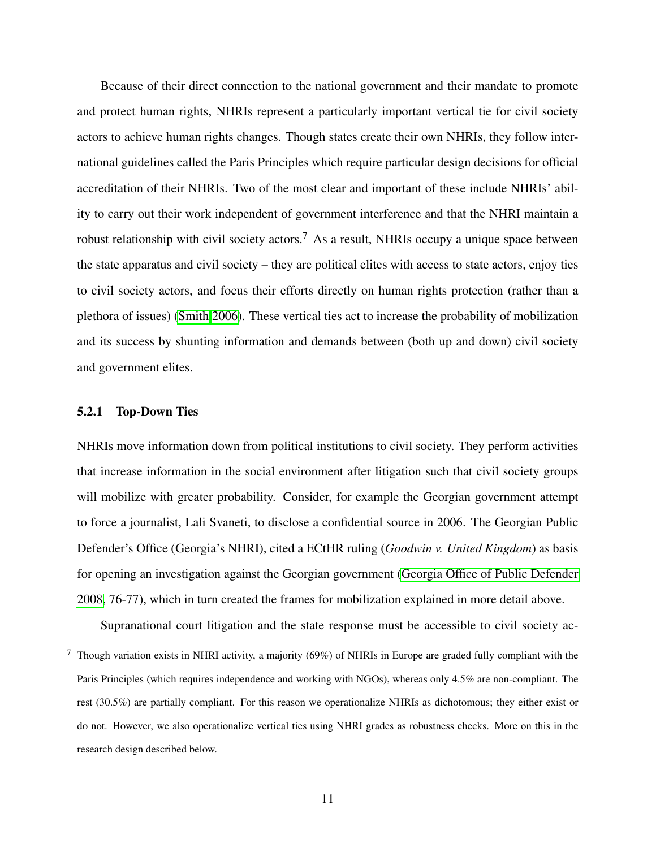Because of their direct connection to the national government and their mandate to promote and protect human rights, NHRIs represent a particularly important vertical tie for civil society actors to achieve human rights changes. Though states create their own NHRIs, they follow international guidelines called the Paris Principles which require particular design decisions for official accreditation of their NHRIs. Two of the most clear and important of these include NHRIs' ability to carry out their work independent of government interference and that the NHRI maintain a robust relationship with civil society actors.<sup>7</sup> As a result, NHRIs occupy a unique space between the state apparatus and civil society – they are political elites with access to state actors, enjoy ties to civil society actors, and focus their efforts directly on human rights protection (rather than a plethora of issues) [\(Smith 2006\)](#page-35-8). These vertical ties act to increase the probability of mobilization and its success by shunting information and demands between (both up and down) civil society and government elites.

#### 5.2.1 Top-Down Ties

NHRIs move information down from political institutions to civil society. They perform activities that increase information in the social environment after litigation such that civil society groups will mobilize with greater probability. Consider, for example the Georgian government attempt to force a journalist, Lali Svaneti, to disclose a confidential source in 2006. The Georgian Public Defender's Office (Georgia's NHRI), cited a ECtHR ruling (*Goodwin v. United Kingdom*) as basis for opening an investigation against the Georgian government [\(Georgia Office of Public Defender](#page-32-9) [2008,](#page-32-9) 76-77), which in turn created the frames for mobilization explained in more detail above.

Supranational court litigation and the state response must be accessible to civil society ac-

<sup>7</sup> Though variation exists in NHRI activity, a majority (69%) of NHRIs in Europe are graded fully compliant with the Paris Principles (which requires independence and working with NGOs), whereas only 4.5% are non-compliant. The rest (30.5%) are partially compliant. For this reason we operationalize NHRIs as dichotomous; they either exist or do not. However, we also operationalize vertical ties using NHRI grades as robustness checks. More on this in the research design described below.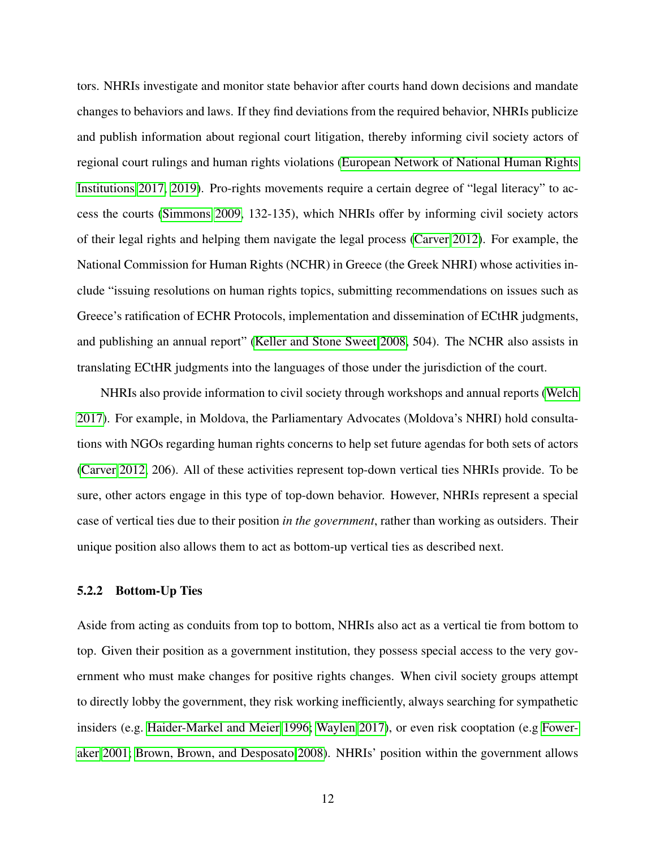tors. NHRIs investigate and monitor state behavior after courts hand down decisions and mandate changes to behaviors and laws. If they find deviations from the required behavior, NHRIs publicize and publish information about regional court litigation, thereby informing civil society actors of regional court rulings and human rights violations [\(European Network of National Human Rights](#page-31-6) [Institutions 2017,](#page-31-6) [2019\)](#page-31-7). Pro-rights movements require a certain degree of "legal literacy" to access the courts [\(Simmons 2009,](#page-35-0) 132-135), which NHRIs offer by informing civil society actors of their legal rights and helping them navigate the legal process [\(Carver 2012\)](#page-29-7). For example, the National Commission for Human Rights (NCHR) in Greece (the Greek NHRI) whose activities include "issuing resolutions on human rights topics, submitting recommendations on issues such as Greece's ratification of ECHR Protocols, implementation and dissemination of ECtHR judgments, and publishing an annual report" [\(Keller and Stone Sweet 2008,](#page-33-3) 504). The NCHR also assists in translating ECtHR judgments into the languages of those under the jurisdiction of the court.

NHRIs also provide information to civil society through workshops and annual reports [\(Welch](#page-35-2) [2017\)](#page-35-2). For example, in Moldova, the Parliamentary Advocates (Moldova's NHRI) hold consultations with NGOs regarding human rights concerns to help set future agendas for both sets of actors [\(Carver 2012,](#page-29-7) 206). All of these activities represent top-down vertical ties NHRIs provide. To be sure, other actors engage in this type of top-down behavior. However, NHRIs represent a special case of vertical ties due to their position *in the government*, rather than working as outsiders. Their unique position also allows them to act as bottom-up vertical ties as described next.

#### 5.2.2 Bottom-Up Ties

Aside from acting as conduits from top to bottom, NHRIs also act as a vertical tie from bottom to top. Given their position as a government institution, they possess special access to the very government who must make changes for positive rights changes. When civil society groups attempt to directly lobby the government, they risk working inefficiently, always searching for sympathetic insiders (e.g. [Haider-Markel and Meier 1996;](#page-32-10) [Waylen 2017\)](#page-35-9), or even risk cooptation (e.g [Fower](#page-31-8)[aker 2001;](#page-31-8) [Brown, Brown, and Desposato 2008\)](#page-29-8). NHRIs' position within the government allows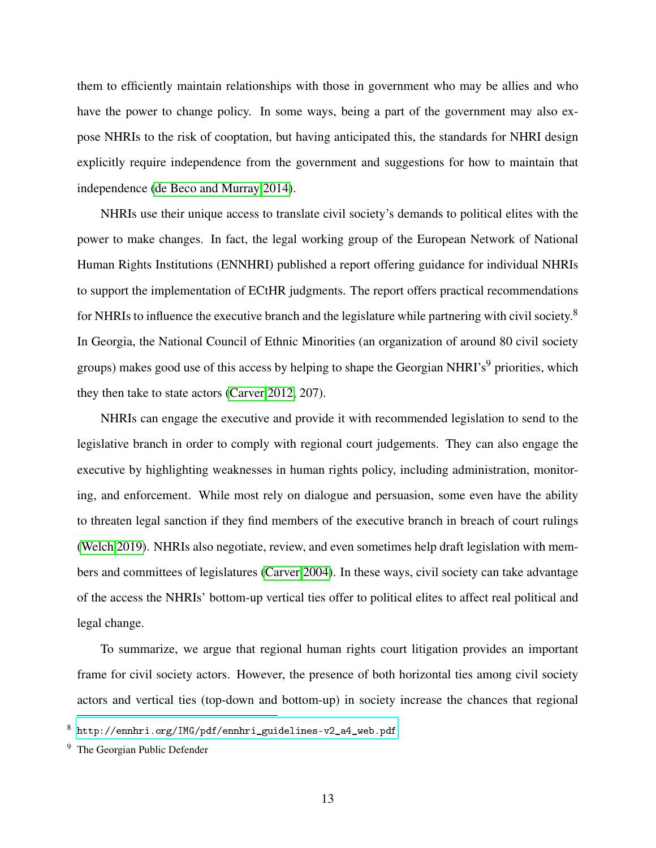them to efficiently maintain relationships with those in government who may be allies and who have the power to change policy. In some ways, being a part of the government may also expose NHRIs to the risk of cooptation, but having anticipated this, the standards for NHRI design explicitly require independence from the government and suggestions for how to maintain that independence [\(de Beco and Murray 2014\)](#page-31-9).

NHRIs use their unique access to translate civil society's demands to political elites with the power to make changes. In fact, the legal working group of the European Network of National Human Rights Institutions (ENNHRI) published a report offering guidance for individual NHRIs to support the implementation of ECtHR judgments. The report offers practical recommendations for NHRIs to influence the executive branch and the legislature while partnering with civil society.<sup>8</sup> In Georgia, the National Council of Ethnic Minorities (an organization of around 80 civil society groups) makes good use of this access by helping to shape the Georgian NHRI's<sup>9</sup> priorities, which they then take to state actors [\(Carver 2012,](#page-29-7) 207).

NHRIs can engage the executive and provide it with recommended legislation to send to the legislative branch in order to comply with regional court judgements. They can also engage the executive by highlighting weaknesses in human rights policy, including administration, monitoring, and enforcement. While most rely on dialogue and persuasion, some even have the ability to threaten legal sanction if they find members of the executive branch in breach of court rulings [\(Welch 2019\)](#page-35-10). NHRIs also negotiate, review, and even sometimes help draft legislation with members and committees of legislatures [\(Carver 2004\)](#page-29-9). In these ways, civil society can take advantage of the access the NHRIs' bottom-up vertical ties offer to political elites to affect real political and legal change.

To summarize, we argue that regional human rights court litigation provides an important frame for civil society actors. However, the presence of both horizontal ties among civil society actors and vertical ties (top-down and bottom-up) in society increase the chances that regional

<sup>8</sup> [http://ennhri.org/IMG/pdf/ennhri\\_guidelines-v2\\_a4\\_web.pdf](http://ennhri.org/IMG/pdf/ennhri_guidelines-v2_a4_web.pdf)

<sup>9</sup> The Georgian Public Defender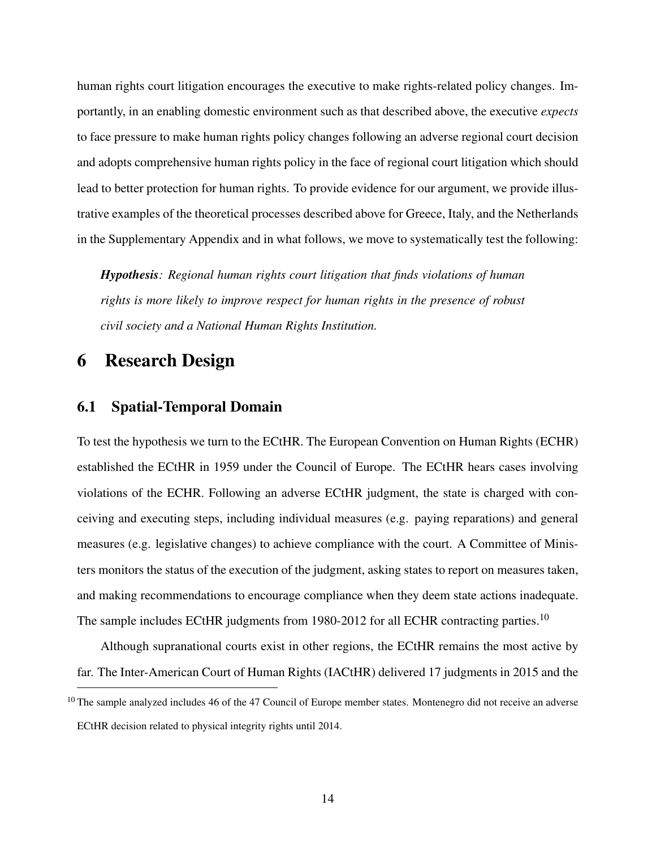human rights court litigation encourages the executive to make rights-related policy changes. Importantly, in an enabling domestic environment such as that described above, the executive *expects* to face pressure to make human rights policy changes following an adverse regional court decision and adopts comprehensive human rights policy in the face of regional court litigation which should lead to better protection for human rights. To provide evidence for our argument, we provide illustrative examples of the theoretical processes described above for Greece, Italy, and the Netherlands in the Supplementary Appendix and in what follows, we move to systematically test the following:

*Hypothesis: Regional human rights court litigation that finds violations of human rights is more likely to improve respect for human rights in the presence of robust civil society and a National Human Rights Institution.*

### 6 Research Design

### 6.1 Spatial-Temporal Domain

To test the hypothesis we turn to the ECtHR. The European Convention on Human Rights (ECHR) established the ECtHR in 1959 under the Council of Europe. The ECtHR hears cases involving violations of the ECHR. Following an adverse ECtHR judgment, the state is charged with conceiving and executing steps, including individual measures (e.g. paying reparations) and general measures (e.g. legislative changes) to achieve compliance with the court. A Committee of Ministers monitors the status of the execution of the judgment, asking states to report on measures taken, and making recommendations to encourage compliance when they deem state actions inadequate. The sample includes ECtHR judgments from 1980-2012 for all ECHR contracting parties.<sup>10</sup>

Although supranational courts exist in other regions, the ECtHR remains the most active by far. The Inter-American Court of Human Rights (IACtHR) delivered 17 judgments in 2015 and the

<sup>&</sup>lt;sup>10</sup> The sample analyzed includes 46 of the 47 Council of Europe member states. Montenegro did not receive an adverse ECtHR decision related to physical integrity rights until 2014.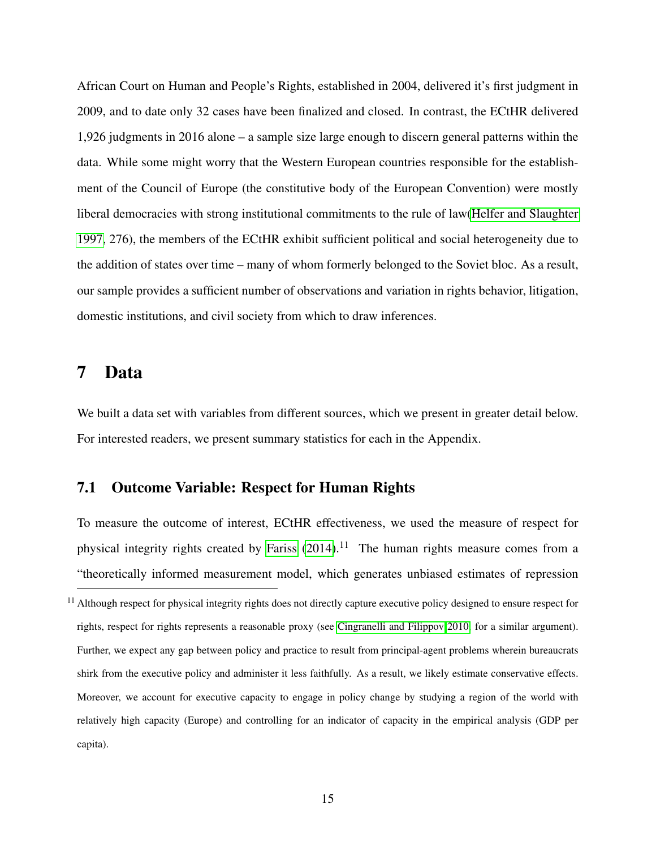African Court on Human and People's Rights, established in 2004, delivered it's first judgment in 2009, and to date only 32 cases have been finalized and closed. In contrast, the ECtHR delivered 1,926 judgments in 2016 alone – a sample size large enough to discern general patterns within the data. While some might worry that the Western European countries responsible for the establishment of the Council of Europe (the constitutive body of the European Convention) were mostly liberal democracies with strong institutional commitments to the rule of law[\(Helfer and Slaughter](#page-32-1) [1997,](#page-32-1) 276), the members of the ECtHR exhibit sufficient political and social heterogeneity due to the addition of states over time – many of whom formerly belonged to the Soviet bloc. As a result, our sample provides a sufficient number of observations and variation in rights behavior, litigation, domestic institutions, and civil society from which to draw inferences.

### 7 Data

We built a data set with variables from different sources, which we present in greater detail below. For interested readers, we present summary statistics for each in the Appendix.

#### 7.1 Outcome Variable: Respect for Human Rights

To measure the outcome of interest, ECtHR effectiveness, we used the measure of respect for physical integrity rights created by [Fariss](#page-31-10)  $(2014).<sup>11</sup>$  $(2014).<sup>11</sup>$  The human rights measure comes from a "theoretically informed measurement model, which generates unbiased estimates of repression

 $11$  Although respect for physical integrity rights does not directly capture executive policy designed to ensure respect for rights, respect for rights represents a reasonable proxy (see [Cingranelli and Filippov 2010,](#page-30-8) for a similar argument). Further, we expect any gap between policy and practice to result from principal-agent problems wherein bureaucrats shirk from the executive policy and administer it less faithfully. As a result, we likely estimate conservative effects. Moreover, we account for executive capacity to engage in policy change by studying a region of the world with relatively high capacity (Europe) and controlling for an indicator of capacity in the empirical analysis (GDP per capita).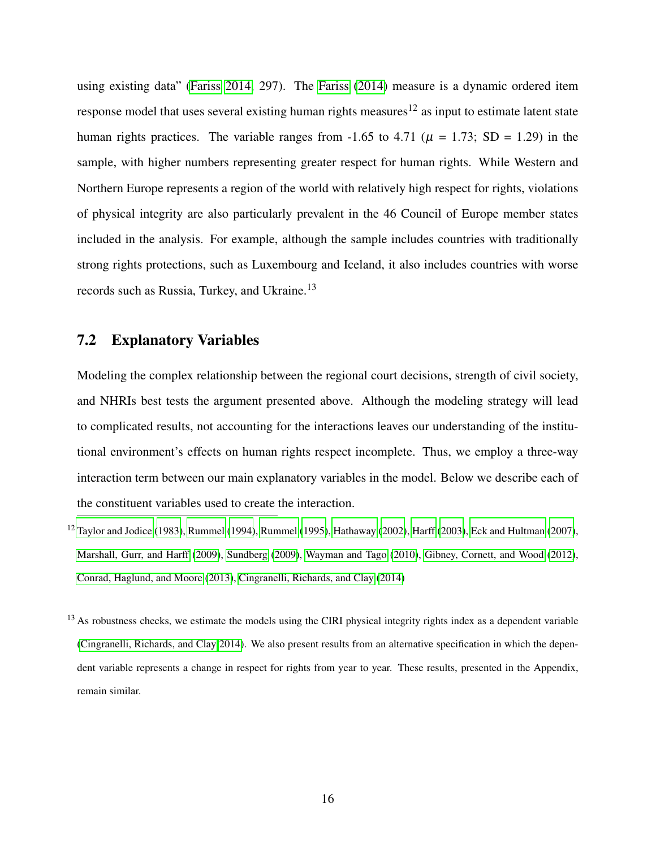using existing data" [\(Fariss 2014,](#page-31-10) 297). The [Fariss](#page-31-10) [\(2014\)](#page-31-10) measure is a dynamic ordered item response model that uses several existing human rights measures<sup>12</sup> as input to estimate latent state human rights practices. The variable ranges from -1.65 to 4.71 ( $\mu$  = 1.73; SD = 1.29) in the sample, with higher numbers representing greater respect for human rights. While Western and Northern Europe represents a region of the world with relatively high respect for rights, violations of physical integrity are also particularly prevalent in the 46 Council of Europe member states included in the analysis. For example, although the sample includes countries with traditionally strong rights protections, such as Luxembourg and Iceland, it also includes countries with worse records such as Russia, Turkey, and Ukraine.<sup>13</sup>

### 7.2 Explanatory Variables

Modeling the complex relationship between the regional court decisions, strength of civil society, and NHRIs best tests the argument presented above. Although the modeling strategy will lead to complicated results, not accounting for the interactions leaves our understanding of the institutional environment's effects on human rights respect incomplete. Thus, we employ a three-way interaction term between our main explanatory variables in the model. Below we describe each of the constituent variables used to create the interaction.

 $12$  [Taylor and Jodice](#page-35-11) [\(1983\)](#page-35-11), [Rummel](#page-35-13) [\(1994\)](#page-35-12), Rummel [\(1995\)](#page-35-13), [Hathaway](#page-32-11) [\(2002\)](#page-32-11), [Harff](#page-32-12) [\(2003\)](#page-32-12), [Eck and Hultman](#page-31-11) [\(2007\)](#page-31-11), [Marshall, Gurr, and Harff](#page-33-8) [\(2009\)](#page-33-8), [Sundberg](#page-35-14) [\(2009\)](#page-35-14), [Wayman and Tago](#page-35-15) [\(2010\)](#page-35-15), [Gibney, Cornett, and Wood](#page-32-13) [\(2012\)](#page-32-13), [Conrad, Haglund, and Moore](#page-30-9) [\(2013\)](#page-30-9), [Cingranelli, Richards, and Clay](#page-30-10) [\(2014\)](#page-30-10)

 $13$  As robustness checks, we estimate the models using the CIRI physical integrity rights index as a dependent variable [\(Cingranelli, Richards, and Clay 2014\)](#page-30-10). We also present results from an alternative specification in which the dependent variable represents a change in respect for rights from year to year. These results, presented in the Appendix, remain similar.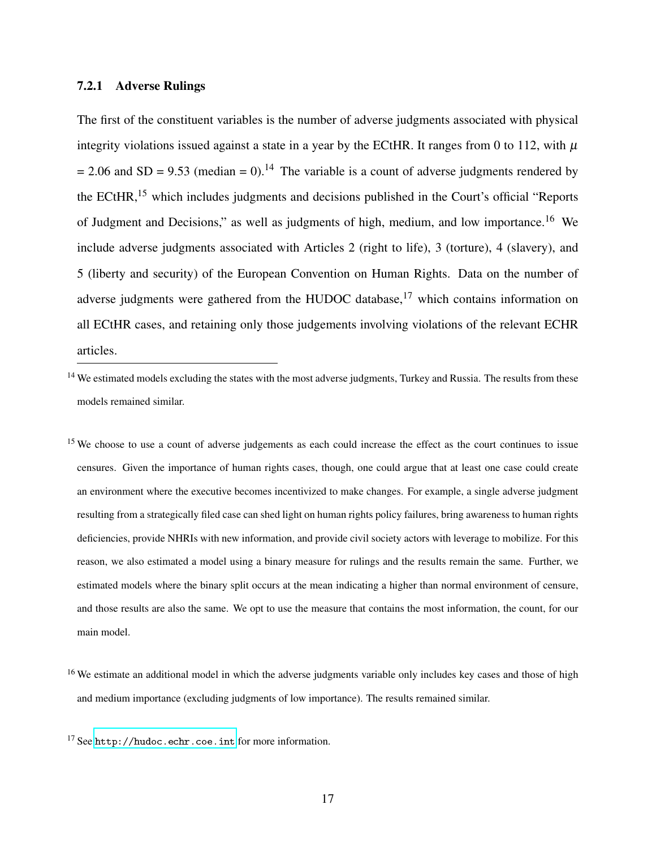#### 7.2.1 Adverse Rulings

The first of the constituent variables is the number of adverse judgments associated with physical integrity violations issued against a state in a year by the ECtHR. It ranges from 0 to 112, with  $\mu$  $= 2.06$  and SD = 9.53 (median = 0).<sup>14</sup> The variable is a count of adverse judgments rendered by the ECtHR,<sup>15</sup> which includes judgments and decisions published in the Court's official "Reports of Judgment and Decisions," as well as judgments of high, medium, and low importance.<sup>16</sup> We include adverse judgments associated with Articles 2 (right to life), 3 (torture), 4 (slavery), and 5 (liberty and security) of the European Convention on Human Rights. Data on the number of adverse judgments were gathered from the HUDOC database, $17$  which contains information on all ECtHR cases, and retaining only those judgements involving violations of the relevant ECHR articles.

<sup>14</sup> We estimated models excluding the states with the most adverse judgments, Turkey and Russia. The results from these models remained similar.

<sup>15</sup> We choose to use a count of adverse judgements as each could increase the effect as the court continues to issue censures. Given the importance of human rights cases, though, one could argue that at least one case could create an environment where the executive becomes incentivized to make changes. For example, a single adverse judgment resulting from a strategically filed case can shed light on human rights policy failures, bring awareness to human rights deficiencies, provide NHRIs with new information, and provide civil society actors with leverage to mobilize. For this reason, we also estimated a model using a binary measure for rulings and the results remain the same. Further, we estimated models where the binary split occurs at the mean indicating a higher than normal environment of censure, and those results are also the same. We opt to use the measure that contains the most information, the count, for our main model.

<sup>&</sup>lt;sup>16</sup> We estimate an additional model in which the adverse judgments variable only includes key cases and those of high and medium importance (excluding judgments of low importance). The results remained similar.

<sup>&</sup>lt;sup>17</sup> See <http://hudoc.echr.coe.int> for more information.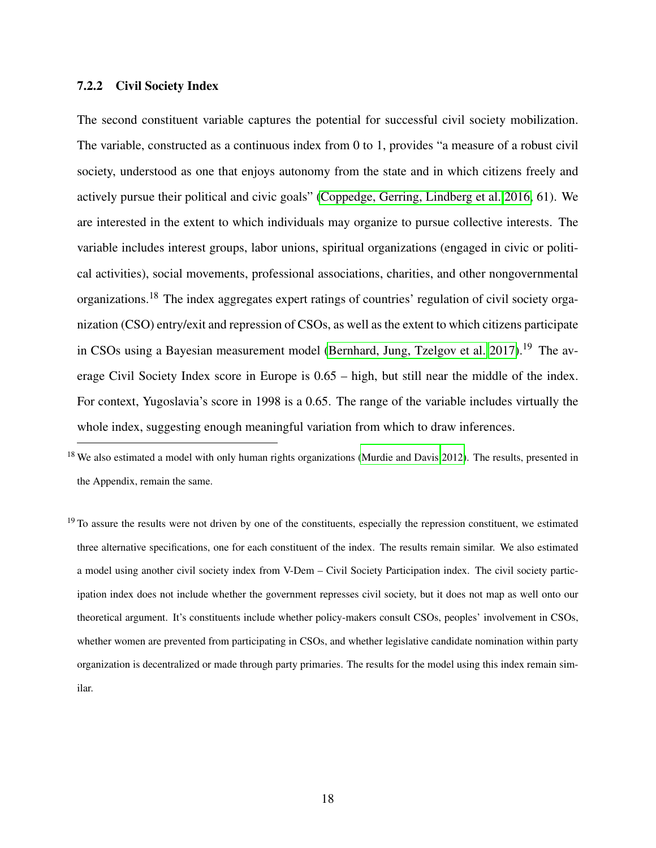#### 7.2.2 Civil Society Index

The second constituent variable captures the potential for successful civil society mobilization. The variable, constructed as a continuous index from 0 to 1, provides "a measure of a robust civil society, understood as one that enjoys autonomy from the state and in which citizens freely and actively pursue their political and civic goals" [\(Coppedge, Gerring, Lindberg et al. 2016,](#page-31-12) 61). We are interested in the extent to which individuals may organize to pursue collective interests. The variable includes interest groups, labor unions, spiritual organizations (engaged in civic or political activities), social movements, professional associations, charities, and other nongovernmental organizations.<sup>18</sup> The index aggregates expert ratings of countries' regulation of civil society organization (CSO) entry/exit and repression of CSOs, as well as the extent to which citizens participate in CSOs using a Bayesian measurement model [\(Bernhard, Jung, Tzelgov et al. 2017\)](#page-29-10).<sup>19</sup> The average Civil Society Index score in Europe is 0.65 – high, but still near the middle of the index. For context, Yugoslavia's score in 1998 is a 0.65. The range of the variable includes virtually the whole index, suggesting enough meaningful variation from which to draw inferences.

<sup>18</sup> We also estimated a model with only human rights organizations [\(Murdie and Davis 2012\)](#page-34-10). The results, presented in the Appendix, remain the same.

<sup>19</sup> To assure the results were not driven by one of the constituents, especially the repression constituent, we estimated three alternative specifications, one for each constituent of the index. The results remain similar. We also estimated a model using another civil society index from V-Dem – Civil Society Participation index. The civil society participation index does not include whether the government represses civil society, but it does not map as well onto our theoretical argument. It's constituents include whether policy-makers consult CSOs, peoples' involvement in CSOs, whether women are prevented from participating in CSOs, and whether legislative candidate nomination within party organization is decentralized or made through party primaries. The results for the model using this index remain similar.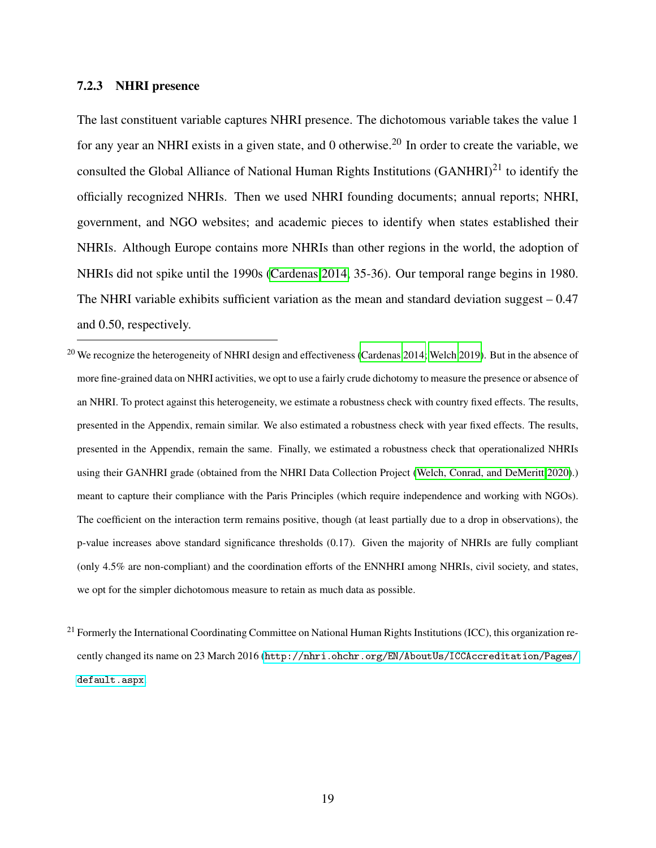#### 7.2.3 NHRI presence

The last constituent variable captures NHRI presence. The dichotomous variable takes the value 1 for any year an NHRI exists in a given state, and 0 otherwise.<sup>20</sup> In order to create the variable, we consulted the Global Alliance of National Human Rights Institutions  $(GANHRI)^{21}$  to identify the officially recognized NHRIs. Then we used NHRI founding documents; annual reports; NHRI, government, and NGO websites; and academic pieces to identify when states established their NHRIs. Although Europe contains more NHRIs than other regions in the world, the adoption of NHRIs did not spike until the 1990s [\(Cardenas 2014,](#page-29-0) 35-36). Our temporal range begins in 1980. The NHRI variable exhibits sufficient variation as the mean and standard deviation suggest  $-0.47$ and 0.50, respectively.

<sup>20</sup> We recognize the heterogeneity of NHRI design and effectiveness [\(Cardenas 2014;](#page-29-0) [Welch 2019\)](#page-35-10). But in the absence of more fine-grained data on NHRI activities, we opt to use a fairly crude dichotomy to measure the presence or absence of an NHRI. To protect against this heterogeneity, we estimate a robustness check with country fixed effects. The results, presented in the Appendix, remain similar. We also estimated a robustness check with year fixed effects. The results, presented in the Appendix, remain the same. Finally, we estimated a robustness check that operationalized NHRIs using their GANHRI grade (obtained from the NHRI Data Collection Project [\(Welch, Conrad, and DeMeritt 2020\)](#page-36-0).) meant to capture their compliance with the Paris Principles (which require independence and working with NGOs). The coefficient on the interaction term remains positive, though (at least partially due to a drop in observations), the p-value increases above standard significance thresholds (0.17). Given the majority of NHRIs are fully compliant (only 4.5% are non-compliant) and the coordination efforts of the ENNHRI among NHRIs, civil society, and states, we opt for the simpler dichotomous measure to retain as much data as possible.

 $^{21}$  Formerly the International Coordinating Committee on National Human Rights Institutions (ICC), this organization recently changed its name on 23 March 2016 ([http://nhri.ohchr.org/EN/AboutUs/ICCAccreditation/Pages/](http://nhri.ohchr.org/EN/AboutUs/ICCAccreditation/Pages/default.aspx) [default.aspx](http://nhri.ohchr.org/EN/AboutUs/ICCAccreditation/Pages/default.aspx).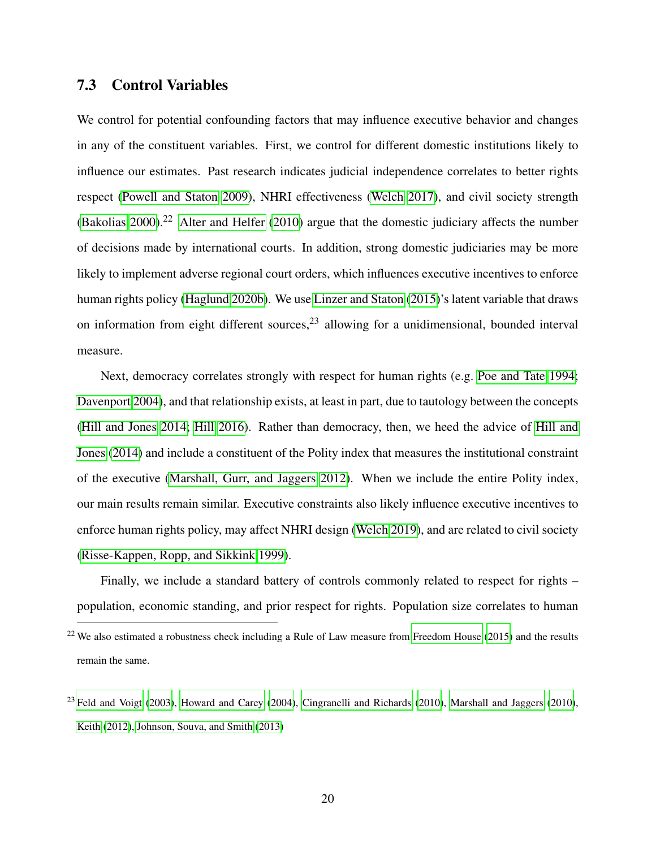### 7.3 Control Variables

We control for potential confounding factors that may influence executive behavior and changes in any of the constituent variables. First, we control for different domestic institutions likely to influence our estimates. Past research indicates judicial independence correlates to better rights respect [\(Powell and Staton 2009\)](#page-34-0), NHRI effectiveness [\(Welch 2017\)](#page-35-2), and civil society strength [\(Bakolias 2000\)](#page-29-11).<sup>22</sup> [Alter and Helfer](#page-29-1) [\(2010\)](#page-29-1) argue that the domestic judiciary affects the number of decisions made by international courts. In addition, strong domestic judiciaries may be more likely to implement adverse regional court orders, which influences executive incentives to enforce human rights policy [\(Haglund 2020b\)](#page-32-3). We use [Linzer and Staton](#page-33-9) [\(2015\)](#page-33-9)'s latent variable that draws on information from eight different sources,  $2<sup>3</sup>$  allowing for a unidimensional, bounded interval measure.

Next, democracy correlates strongly with respect for human rights (e.g. [Poe and Tate 1994;](#page-34-11) [Davenport 2004\)](#page-31-13), and that relationship exists, at least in part, due to tautology between the concepts [\(Hill and Jones 2014;](#page-32-14) [Hill 2016\)](#page-32-15). Rather than democracy, then, we heed the advice of [Hill and](#page-32-14) [Jones](#page-32-14) [\(2014\)](#page-32-14) and include a constituent of the Polity index that measures the institutional constraint of the executive [\(Marshall, Gurr, and Jaggers 2012\)](#page-33-10). When we include the entire Polity index, our main results remain similar. Executive constraints also likely influence executive incentives to enforce human rights policy, may affect NHRI design [\(Welch 2019\)](#page-35-10), and are related to civil society [\(Risse-Kappen, Ropp, and Sikkink 1999\)](#page-34-2).

Finally, we include a standard battery of controls commonly related to respect for rights – population, economic standing, and prior respect for rights. Population size correlates to human

<sup>&</sup>lt;sup>22</sup> We also estimated a robustness check including a Rule of Law measure from [Freedom House](#page-32-16) [\(2015\)](#page-32-16) and the results remain the same.

 $^{23}$  [Feld and Voigt](#page-31-14) [\(2003\)](#page-31-14), [Howard and Carey](#page-33-11) [\(2004\)](#page-33-11), [Cingranelli and Richards](#page-30-11) [\(2010\)](#page-33-12), [Marshall and Jaggers](#page-33-12) (2010), [Keith](#page-33-13) [\(2012\)](#page-33-13), [Johnson, Souva, and Smith](#page-33-14) [\(2013\)](#page-33-14)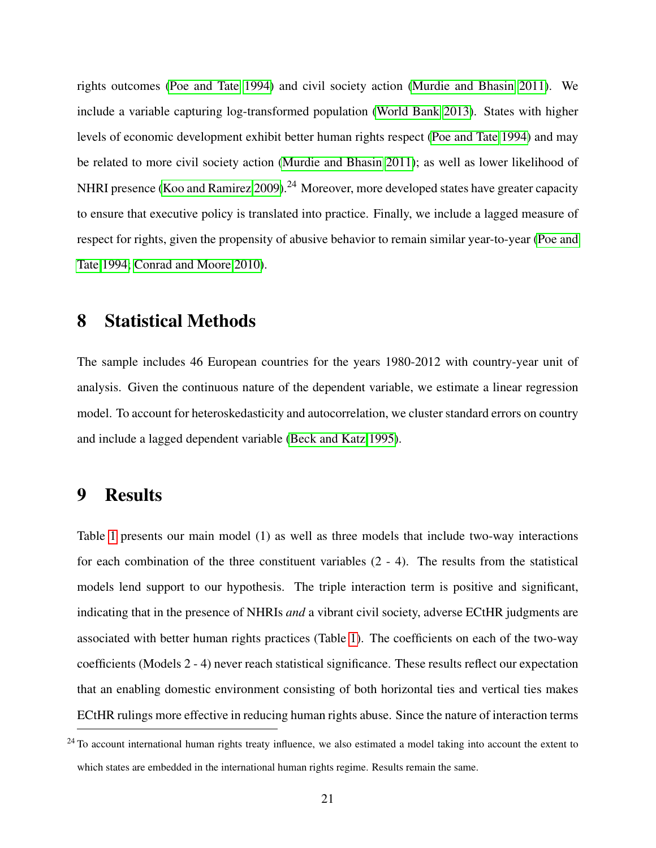rights outcomes [\(Poe and Tate 1994\)](#page-34-11) and civil society action [\(Murdie and Bhasin 2011\)](#page-34-1). We include a variable capturing log-transformed population [\(World Bank 2013\)](#page-36-1). States with higher levels of economic development exhibit better human rights respect [\(Poe and Tate 1994\)](#page-34-11) and may be related to more civil society action [\(Murdie and Bhasin 2011\)](#page-34-1); as well as lower likelihood of NHRI presence [\(Koo and Ramirez 2009\)](#page-33-2).<sup>24</sup> Moreover, more developed states have greater capacity to ensure that executive policy is translated into practice. Finally, we include a lagged measure of respect for rights, given the propensity of abusive behavior to remain similar year-to-year [\(Poe and](#page-34-11) [Tate 1994;](#page-34-11) [Conrad and Moore 2010\)](#page-30-7).

# 8 Statistical Methods

The sample includes 46 European countries for the years 1980-2012 with country-year unit of analysis. Given the continuous nature of the dependent variable, we estimate a linear regression model. To account for heteroskedasticity and autocorrelation, we cluster standard errors on country and include a lagged dependent variable [\(Beck and Katz 1995\)](#page-29-12).

# 9 Results

Table [1](#page-23-0) presents our main model (1) as well as three models that include two-way interactions for each combination of the three constituent variables (2 - 4). The results from the statistical models lend support to our hypothesis. The triple interaction term is positive and significant, indicating that in the presence of NHRIs *and* a vibrant civil society, adverse ECtHR judgments are associated with better human rights practices (Table [1\)](#page-23-0). The coefficients on each of the two-way coefficients (Models 2 - 4) never reach statistical significance. These results reflect our expectation that an enabling domestic environment consisting of both horizontal ties and vertical ties makes ECtHR rulings more effective in reducing human rights abuse. Since the nature of interaction terms

 $24$  To account international human rights treaty influence, we also estimated a model taking into account the extent to which states are embedded in the international human rights regime. Results remain the same.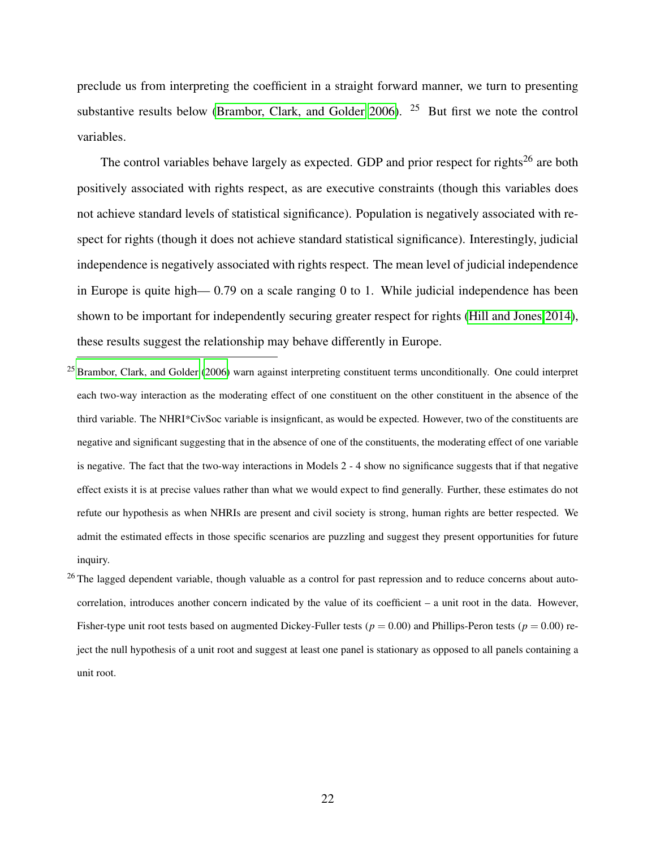preclude us from interpreting the coefficient in a straight forward manner, we turn to presenting substantive results below [\(Brambor, Clark, and Golder 2006\)](#page-29-13). <sup>25</sup> But first we note the control variables.

The control variables behave largely as expected. GDP and prior respect for rights<sup>26</sup> are both positively associated with rights respect, as are executive constraints (though this variables does not achieve standard levels of statistical significance). Population is negatively associated with respect for rights (though it does not achieve standard statistical significance). Interestingly, judicial independence is negatively associated with rights respect. The mean level of judicial independence in Europe is quite high— 0.79 on a scale ranging 0 to 1. While judicial independence has been shown to be important for independently securing greater respect for rights [\(Hill and Jones 2014\)](#page-32-14), these results suggest the relationship may behave differently in Europe.

 $25$  [Brambor, Clark, and Golder](#page-29-13) [\(2006\)](#page-29-13) warn against interpreting constituent terms unconditionally. One could interpret each two-way interaction as the moderating effect of one constituent on the other constituent in the absence of the third variable. The NHRI\*CivSoc variable is insignficant, as would be expected. However, two of the constituents are negative and significant suggesting that in the absence of one of the constituents, the moderating effect of one variable is negative. The fact that the two-way interactions in Models 2 - 4 show no significance suggests that if that negative effect exists it is at precise values rather than what we would expect to find generally. Further, these estimates do not refute our hypothesis as when NHRIs are present and civil society is strong, human rights are better respected. We admit the estimated effects in those specific scenarios are puzzling and suggest they present opportunities for future inquiry.

 $26$  The lagged dependent variable, though valuable as a control for past repression and to reduce concerns about autocorrelation, introduces another concern indicated by the value of its coefficient – a unit root in the data. However, Fisher-type unit root tests based on augmented Dickey-Fuller tests ( $p = 0.00$ ) and Phillips-Peron tests ( $p = 0.00$ ) reject the null hypothesis of a unit root and suggest at least one panel is stationary as opposed to all panels containing a unit root.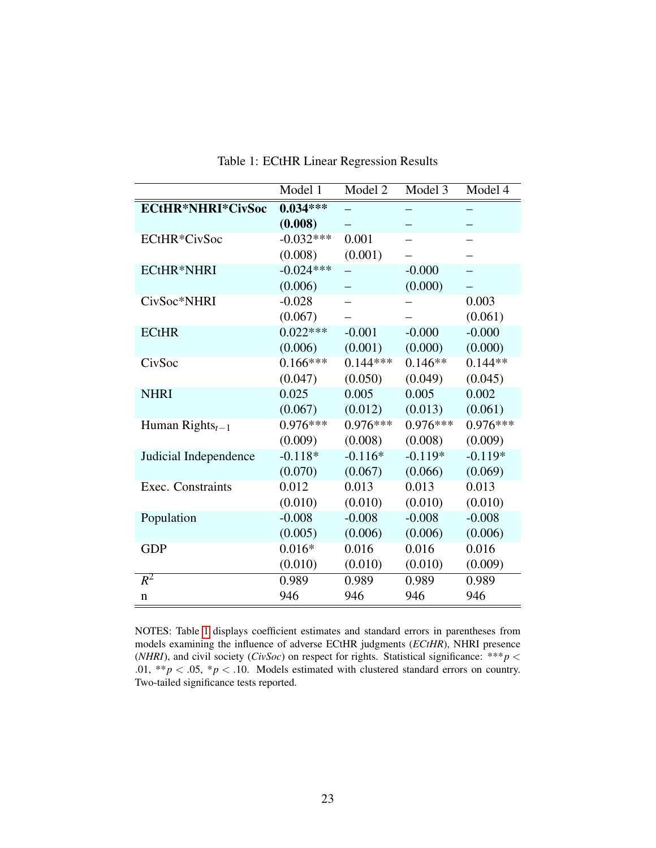|                          | Model 1     | Model 2    | Model 3    | Model 4    |
|--------------------------|-------------|------------|------------|------------|
| <b>ECtHR*NHRI*CivSoc</b> | $0.034***$  |            |            |            |
|                          | (0.008)     |            |            |            |
| ECtHR*CivSoc             | $-0.032***$ | 0.001      |            |            |
|                          | (0.008)     | (0.001)    |            |            |
| <b>ECtHR*NHRI</b>        | $-0.024***$ |            | $-0.000$   |            |
|                          | (0.006)     |            | (0.000)    |            |
| CivSoc*NHRI              | $-0.028$    |            |            | 0.003      |
|                          | (0.067)     |            |            | (0.061)    |
| <b>ECtHR</b>             | $0.022***$  | $-0.001$   | $-0.000$   | $-0.000$   |
|                          | (0.006)     | (0.001)    | (0.000)    | (0.000)    |
| CivSoc                   | $0.166***$  | $0.144***$ | $0.146**$  | $0.144**$  |
|                          | (0.047)     | (0.050)    | (0.049)    | (0.045)    |
| <b>NHRI</b>              | 0.025       | 0.005      | 0.005      | 0.002      |
|                          | (0.067)     | (0.012)    | (0.013)    | (0.061)    |
| Human Rights $_{t-1}$    | $0.976***$  | $0.976***$ | $0.976***$ | $0.976***$ |
|                          | (0.009)     | (0.008)    | (0.008)    | (0.009)    |
| Judicial Independence    | $-0.118*$   | $-0.116*$  | $-0.119*$  | $-0.119*$  |
|                          | (0.070)     | (0.067)    | (0.066)    | (0.069)    |
| Exec. Constraints        | 0.012       | 0.013      | 0.013      | 0.013      |
|                          | (0.010)     | (0.010)    | (0.010)    | (0.010)    |
| Population               | $-0.008$    | $-0.008$   | $-0.008$   | $-0.008$   |
|                          | (0.005)     | (0.006)    | (0.006)    | (0.006)    |
| <b>GDP</b>               | $0.016*$    | 0.016      | 0.016      | 0.016      |
|                          | (0.010)     | (0.010)    | (0.010)    | (0.009)    |
| $R^2$                    | 0.989       | 0.989      | 0.989      | 0.989      |
| n                        | 946         | 946        | 946        | 946        |

<span id="page-23-0"></span>Table 1: ECtHR Linear Regression Results

NOTES: Table [1](#page-23-0) displays coefficient estimates and standard errors in parentheses from models examining the influence of adverse ECtHR judgments (*ECtHR*), NHRI presence (*NHRI*), and civil society (*CivSoc*) on respect for rights. Statistical significance: \*\*\**p* < .01, \*\* $p < .05$ , \* $p < .10$ . Models estimated with clustered standard errors on country. Two-tailed significance tests reported.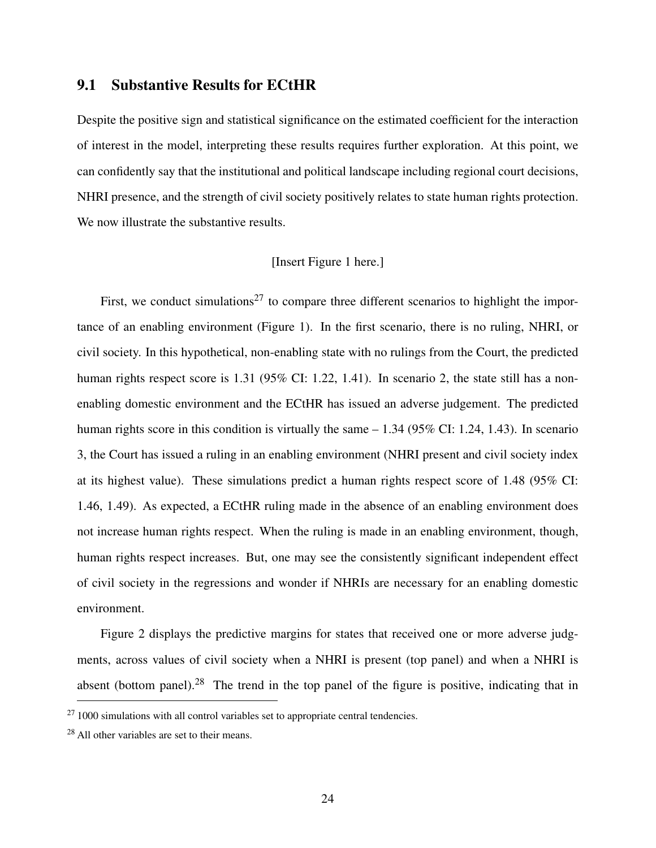### 9.1 Substantive Results for ECtHR

Despite the positive sign and statistical significance on the estimated coefficient for the interaction of interest in the model, interpreting these results requires further exploration. At this point, we can confidently say that the institutional and political landscape including regional court decisions, NHRI presence, and the strength of civil society positively relates to state human rights protection. We now illustrate the substantive results.

### [Insert Figure 1 here.]

First, we conduct simulations<sup>27</sup> to compare three different scenarios to highlight the importance of an enabling environment (Figure 1). In the first scenario, there is no ruling, NHRI, or civil society. In this hypothetical, non-enabling state with no rulings from the Court, the predicted human rights respect score is 1.31 (95% CI: 1.22, 1.41). In scenario 2, the state still has a nonenabling domestic environment and the ECtHR has issued an adverse judgement. The predicted human rights score in this condition is virtually the same – 1.34 (95% CI: 1.24, 1.43). In scenario 3, the Court has issued a ruling in an enabling environment (NHRI present and civil society index at its highest value). These simulations predict a human rights respect score of 1.48 (95% CI: 1.46, 1.49). As expected, a ECtHR ruling made in the absence of an enabling environment does not increase human rights respect. When the ruling is made in an enabling environment, though, human rights respect increases. But, one may see the consistently significant independent effect of civil society in the regressions and wonder if NHRIs are necessary for an enabling domestic environment.

Figure 2 displays the predictive margins for states that received one or more adverse judgments, across values of civil society when a NHRI is present (top panel) and when a NHRI is absent (bottom panel).<sup>28</sup> The trend in the top panel of the figure is positive, indicating that in

 $271000$  simulations with all control variables set to appropriate central tendencies.

<sup>28</sup> All other variables are set to their means.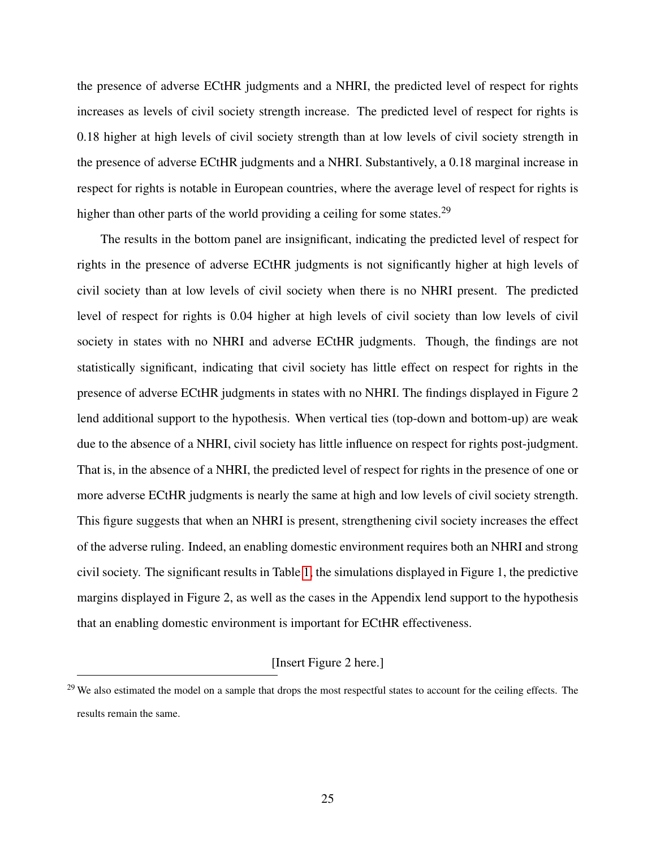the presence of adverse ECtHR judgments and a NHRI, the predicted level of respect for rights increases as levels of civil society strength increase. The predicted level of respect for rights is 0.18 higher at high levels of civil society strength than at low levels of civil society strength in the presence of adverse ECtHR judgments and a NHRI. Substantively, a 0.18 marginal increase in respect for rights is notable in European countries, where the average level of respect for rights is higher than other parts of the world providing a ceiling for some states.<sup>29</sup>

The results in the bottom panel are insignificant, indicating the predicted level of respect for rights in the presence of adverse ECtHR judgments is not significantly higher at high levels of civil society than at low levels of civil society when there is no NHRI present. The predicted level of respect for rights is 0.04 higher at high levels of civil society than low levels of civil society in states with no NHRI and adverse ECtHR judgments. Though, the findings are not statistically significant, indicating that civil society has little effect on respect for rights in the presence of adverse ECtHR judgments in states with no NHRI. The findings displayed in Figure 2 lend additional support to the hypothesis. When vertical ties (top-down and bottom-up) are weak due to the absence of a NHRI, civil society has little influence on respect for rights post-judgment. That is, in the absence of a NHRI, the predicted level of respect for rights in the presence of one or more adverse ECtHR judgments is nearly the same at high and low levels of civil society strength. This figure suggests that when an NHRI is present, strengthening civil society increases the effect of the adverse ruling. Indeed, an enabling domestic environment requires both an NHRI and strong civil society. The significant results in Table [1,](#page-23-0) the simulations displayed in Figure 1, the predictive margins displayed in Figure 2, as well as the cases in the Appendix lend support to the hypothesis that an enabling domestic environment is important for ECtHR effectiveness.

#### [Insert Figure 2 here.]

 $29$  We also estimated the model on a sample that drops the most respectful states to account for the ceiling effects. The results remain the same.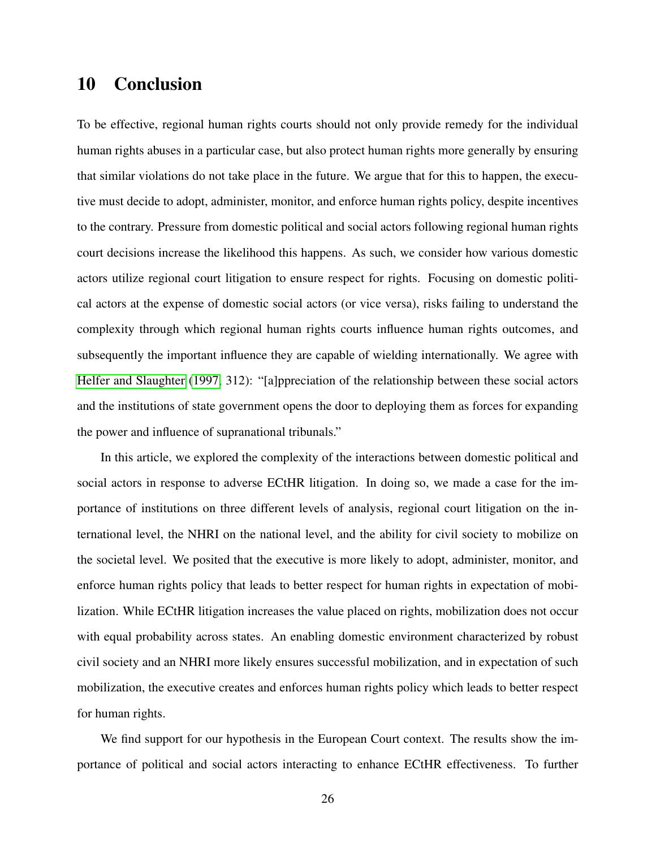### 10 Conclusion

To be effective, regional human rights courts should not only provide remedy for the individual human rights abuses in a particular case, but also protect human rights more generally by ensuring that similar violations do not take place in the future. We argue that for this to happen, the executive must decide to adopt, administer, monitor, and enforce human rights policy, despite incentives to the contrary. Pressure from domestic political and social actors following regional human rights court decisions increase the likelihood this happens. As such, we consider how various domestic actors utilize regional court litigation to ensure respect for rights. Focusing on domestic political actors at the expense of domestic social actors (or vice versa), risks failing to understand the complexity through which regional human rights courts influence human rights outcomes, and subsequently the important influence they are capable of wielding internationally. We agree with [Helfer and Slaughter](#page-32-1) [\(1997,](#page-32-1) 312): "[a]ppreciation of the relationship between these social actors and the institutions of state government opens the door to deploying them as forces for expanding the power and influence of supranational tribunals."

In this article, we explored the complexity of the interactions between domestic political and social actors in response to adverse ECtHR litigation. In doing so, we made a case for the importance of institutions on three different levels of analysis, regional court litigation on the international level, the NHRI on the national level, and the ability for civil society to mobilize on the societal level. We posited that the executive is more likely to adopt, administer, monitor, and enforce human rights policy that leads to better respect for human rights in expectation of mobilization. While ECtHR litigation increases the value placed on rights, mobilization does not occur with equal probability across states. An enabling domestic environment characterized by robust civil society and an NHRI more likely ensures successful mobilization, and in expectation of such mobilization, the executive creates and enforces human rights policy which leads to better respect for human rights.

We find support for our hypothesis in the European Court context. The results show the importance of political and social actors interacting to enhance ECtHR effectiveness. To further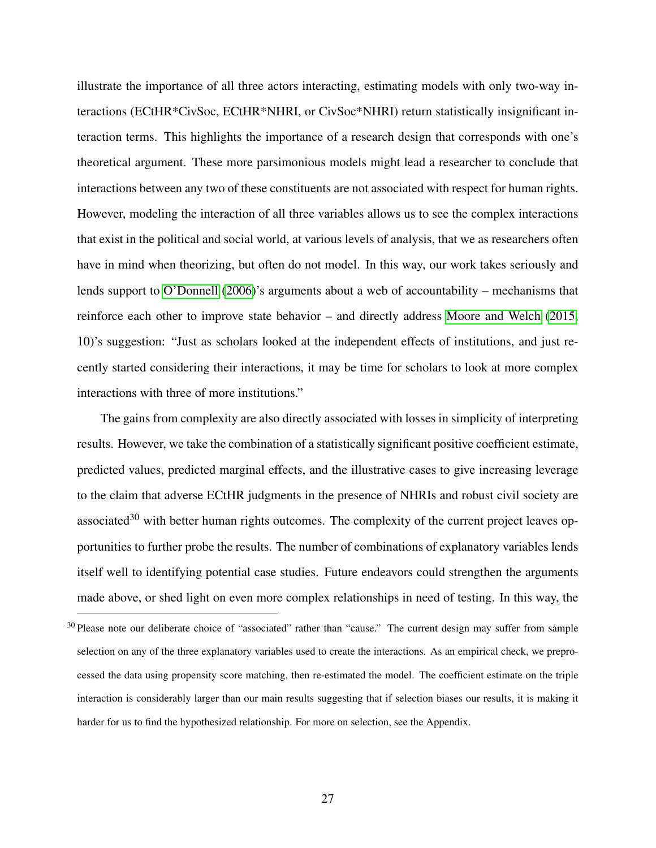illustrate the importance of all three actors interacting, estimating models with only two-way interactions (ECtHR\*CivSoc, ECtHR\*NHRI, or CivSoc\*NHRI) return statistically insignificant interaction terms. This highlights the importance of a research design that corresponds with one's theoretical argument. These more parsimonious models might lead a researcher to conclude that interactions between any two of these constituents are not associated with respect for human rights. However, modeling the interaction of all three variables allows us to see the complex interactions that exist in the political and social world, at various levels of analysis, that we as researchers often have in mind when theorizing, but often do not model. In this way, our work takes seriously and lends support to [O'Donnell](#page-34-12) [\(2006\)](#page-34-12)'s arguments about a web of accountability – mechanisms that reinforce each other to improve state behavior – and directly address [Moore and Welch](#page-34-13) [\(2015,](#page-34-13) 10)'s suggestion: "Just as scholars looked at the independent effects of institutions, and just recently started considering their interactions, it may be time for scholars to look at more complex interactions with three of more institutions."

The gains from complexity are also directly associated with losses in simplicity of interpreting results. However, we take the combination of a statistically significant positive coefficient estimate, predicted values, predicted marginal effects, and the illustrative cases to give increasing leverage to the claim that adverse ECtHR judgments in the presence of NHRIs and robust civil society are associated $30$  with better human rights outcomes. The complexity of the current project leaves opportunities to further probe the results. The number of combinations of explanatory variables lends itself well to identifying potential case studies. Future endeavors could strengthen the arguments made above, or shed light on even more complex relationships in need of testing. In this way, the

 $30$  Please note our deliberate choice of "associated" rather than "cause." The current design may suffer from sample selection on any of the three explanatory variables used to create the interactions. As an empirical check, we preprocessed the data using propensity score matching, then re-estimated the model. The coefficient estimate on the triple interaction is considerably larger than our main results suggesting that if selection biases our results, it is making it harder for us to find the hypothesized relationship. For more on selection, see the Appendix.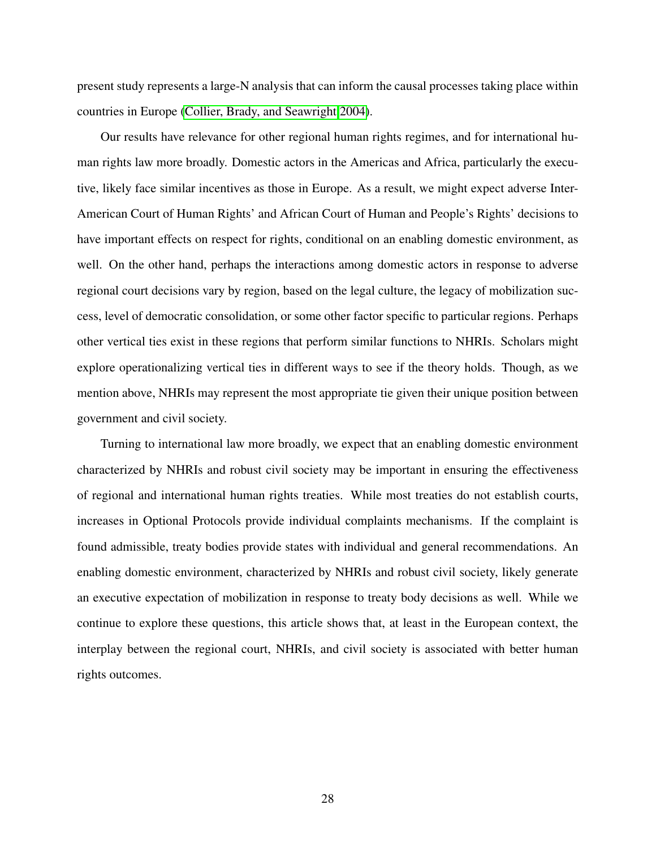present study represents a large-N analysis that can inform the causal processes taking place within countries in Europe [\(Collier, Brady, and Seawright 2004\)](#page-30-12).

Our results have relevance for other regional human rights regimes, and for international human rights law more broadly. Domestic actors in the Americas and Africa, particularly the executive, likely face similar incentives as those in Europe. As a result, we might expect adverse Inter-American Court of Human Rights' and African Court of Human and People's Rights' decisions to have important effects on respect for rights, conditional on an enabling domestic environment, as well. On the other hand, perhaps the interactions among domestic actors in response to adverse regional court decisions vary by region, based on the legal culture, the legacy of mobilization success, level of democratic consolidation, or some other factor specific to particular regions. Perhaps other vertical ties exist in these regions that perform similar functions to NHRIs. Scholars might explore operationalizing vertical ties in different ways to see if the theory holds. Though, as we mention above, NHRIs may represent the most appropriate tie given their unique position between government and civil society.

Turning to international law more broadly, we expect that an enabling domestic environment characterized by NHRIs and robust civil society may be important in ensuring the effectiveness of regional and international human rights treaties. While most treaties do not establish courts, increases in Optional Protocols provide individual complaints mechanisms. If the complaint is found admissible, treaty bodies provide states with individual and general recommendations. An enabling domestic environment, characterized by NHRIs and robust civil society, likely generate an executive expectation of mobilization in response to treaty body decisions as well. While we continue to explore these questions, this article shows that, at least in the European context, the interplay between the regional court, NHRIs, and civil society is associated with better human rights outcomes.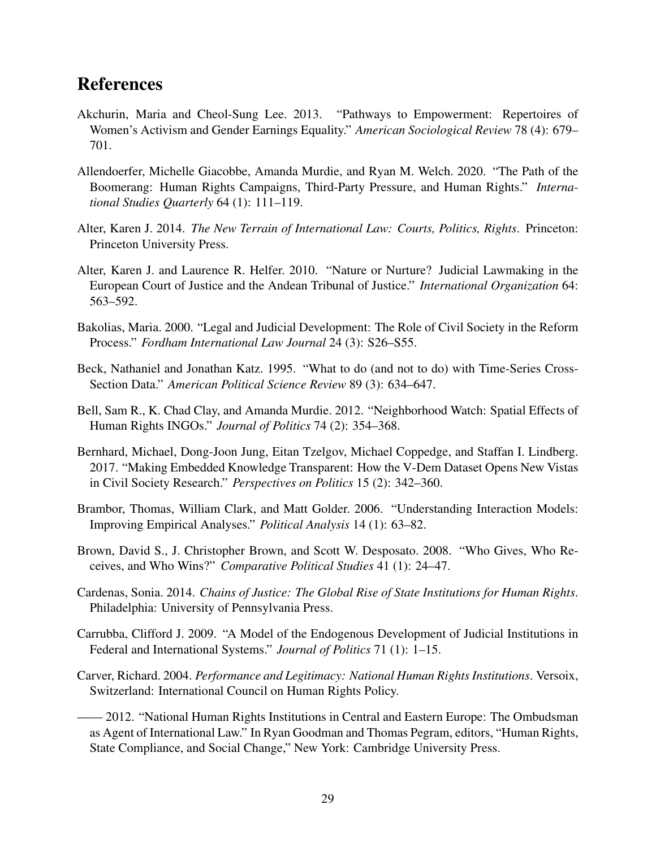# References

- <span id="page-29-5"></span>Akchurin, Maria and Cheol-Sung Lee. 2013. "Pathways to Empowerment: Repertoires of Women's Activism and Gender Earnings Equality." *American Sociological Review* 78 (4): 679– 701.
- <span id="page-29-3"></span>Allendoerfer, Michelle Giacobbe, Amanda Murdie, and Ryan M. Welch. 2020. "The Path of the Boomerang: Human Rights Campaigns, Third-Party Pressure, and Human Rights." *International Studies Quarterly* 64 (1): 111–119.
- <span id="page-29-6"></span>Alter, Karen J. 2014. *The New Terrain of International Law: Courts, Politics, Rights*. Princeton: Princeton University Press.
- <span id="page-29-1"></span>Alter, Karen J. and Laurence R. Helfer. 2010. "Nature or Nurture? Judicial Lawmaking in the European Court of Justice and the Andean Tribunal of Justice." *International Organization* 64: 563–592.
- <span id="page-29-11"></span>Bakolias, Maria. 2000. "Legal and Judicial Development: The Role of Civil Society in the Reform Process." *Fordham International Law Journal* 24 (3): S26–S55.
- <span id="page-29-12"></span>Beck, Nathaniel and Jonathan Katz. 1995. "What to do (and not to do) with Time-Series Cross-Section Data." *American Political Science Review* 89 (3): 634–647.
- <span id="page-29-2"></span>Bell, Sam R., K. Chad Clay, and Amanda Murdie. 2012. "Neighborhood Watch: Spatial Effects of Human Rights INGOs." *Journal of Politics* 74 (2): 354–368.
- <span id="page-29-10"></span>Bernhard, Michael, Dong-Joon Jung, Eitan Tzelgov, Michael Coppedge, and Staffan I. Lindberg. 2017. "Making Embedded Knowledge Transparent: How the V-Dem Dataset Opens New Vistas in Civil Society Research." *Perspectives on Politics* 15 (2): 342–360.
- <span id="page-29-13"></span>Brambor, Thomas, William Clark, and Matt Golder. 2006. "Understanding Interaction Models: Improving Empirical Analyses." *Political Analysis* 14 (1): 63–82.
- <span id="page-29-8"></span>Brown, David S., J. Christopher Brown, and Scott W. Desposato. 2008. "Who Gives, Who Receives, and Who Wins?" *Comparative Political Studies* 41 (1): 24–47.
- <span id="page-29-0"></span>Cardenas, Sonia. 2014. *Chains of Justice: The Global Rise of State Institutions for Human Rights*. Philadelphia: University of Pennsylvania Press.
- <span id="page-29-4"></span>Carrubba, Clifford J. 2009. "A Model of the Endogenous Development of Judicial Institutions in Federal and International Systems." *Journal of Politics* 71 (1): 1–15.
- <span id="page-29-9"></span>Carver, Richard. 2004. *Performance and Legitimacy: National Human Rights Institutions*. Versoix, Switzerland: International Council on Human Rights Policy.
- <span id="page-29-7"></span>– 2012. "National Human Rights Institutions in Central and Eastern Europe: The Ombudsman as Agent of International Law." In Ryan Goodman and Thomas Pegram, editors, "Human Rights, State Compliance, and Social Change," New York: Cambridge University Press.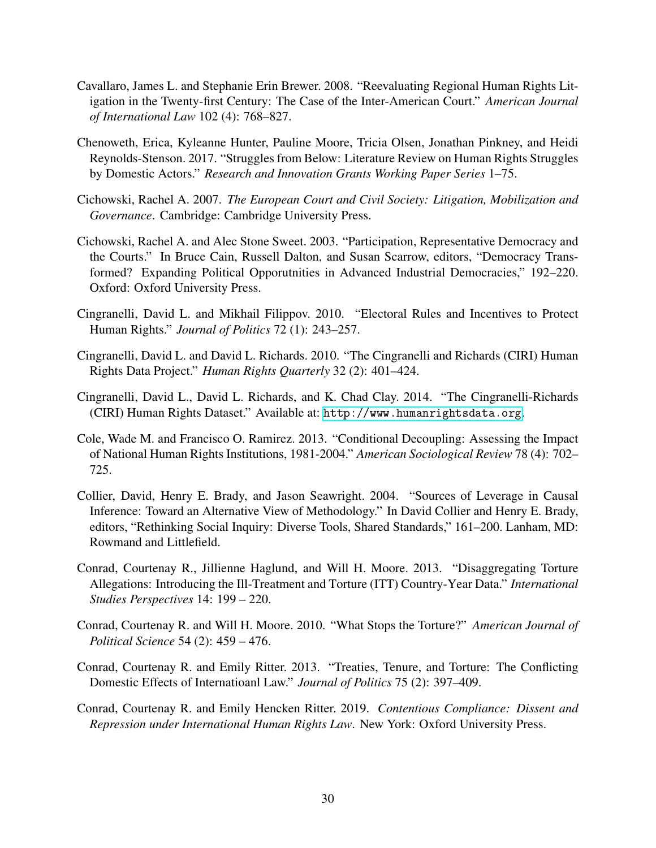- <span id="page-30-4"></span>Cavallaro, James L. and Stephanie Erin Brewer. 2008. "Reevaluating Regional Human Rights Litigation in the Twenty-first Century: The Case of the Inter-American Court." *American Journal of International Law* 102 (4): 768–827.
- <span id="page-30-2"></span>Chenoweth, Erica, Kyleanne Hunter, Pauline Moore, Tricia Olsen, Jonathan Pinkney, and Heidi Reynolds-Stenson. 2017. "Struggles from Below: Literature Review on Human Rights Struggles by Domestic Actors." *Research and Innovation Grants Working Paper Series* 1–75.
- <span id="page-30-6"></span>Cichowski, Rachel A. 2007. *The European Court and Civil Society: Litigation, Mobilization and Governance*. Cambridge: Cambridge University Press.
- <span id="page-30-5"></span>Cichowski, Rachel A. and Alec Stone Sweet. 2003. "Participation, Representative Democracy and the Courts." In Bruce Cain, Russell Dalton, and Susan Scarrow, editors, "Democracy Transformed? Expanding Political Opporutnities in Advanced Industrial Democracies," 192–220. Oxford: Oxford University Press.
- <span id="page-30-8"></span>Cingranelli, David L. and Mikhail Filippov. 2010. "Electoral Rules and Incentives to Protect Human Rights." *Journal of Politics* 72 (1): 243–257.
- <span id="page-30-11"></span>Cingranelli, David L. and David L. Richards. 2010. "The Cingranelli and Richards (CIRI) Human Rights Data Project." *Human Rights Quarterly* 32 (2): 401–424.
- <span id="page-30-10"></span>Cingranelli, David L., David L. Richards, and K. Chad Clay. 2014. "The Cingranelli-Richards (CIRI) Human Rights Dataset." Available at: <http://www.humanrightsdata.org>.
- <span id="page-30-3"></span>Cole, Wade M. and Francisco O. Ramirez. 2013. "Conditional Decoupling: Assessing the Impact of National Human Rights Institutions, 1981-2004." *American Sociological Review* 78 (4): 702– 725.
- <span id="page-30-12"></span>Collier, David, Henry E. Brady, and Jason Seawright. 2004. "Sources of Leverage in Causal Inference: Toward an Alternative View of Methodology." In David Collier and Henry E. Brady, editors, "Rethinking Social Inquiry: Diverse Tools, Shared Standards," 161–200. Lanham, MD: Rowmand and Littlefield.
- <span id="page-30-9"></span>Conrad, Courtenay R., Jillienne Haglund, and Will H. Moore. 2013. "Disaggregating Torture Allegations: Introducing the Ill-Treatment and Torture (ITT) Country-Year Data." *International Studies Perspectives* 14: 199 – 220.
- <span id="page-30-7"></span>Conrad, Courtenay R. and Will H. Moore. 2010. "What Stops the Torture?" *American Journal of Political Science* 54 (2): 459 – 476.
- <span id="page-30-1"></span>Conrad, Courtenay R. and Emily Ritter. 2013. "Treaties, Tenure, and Torture: The Conflicting Domestic Effects of Internatioanl Law." *Journal of Politics* 75 (2): 397–409.
- <span id="page-30-0"></span>Conrad, Courtenay R. and Emily Hencken Ritter. 2019. *Contentious Compliance: Dissent and Repression under International Human Rights Law*. New York: Oxford University Press.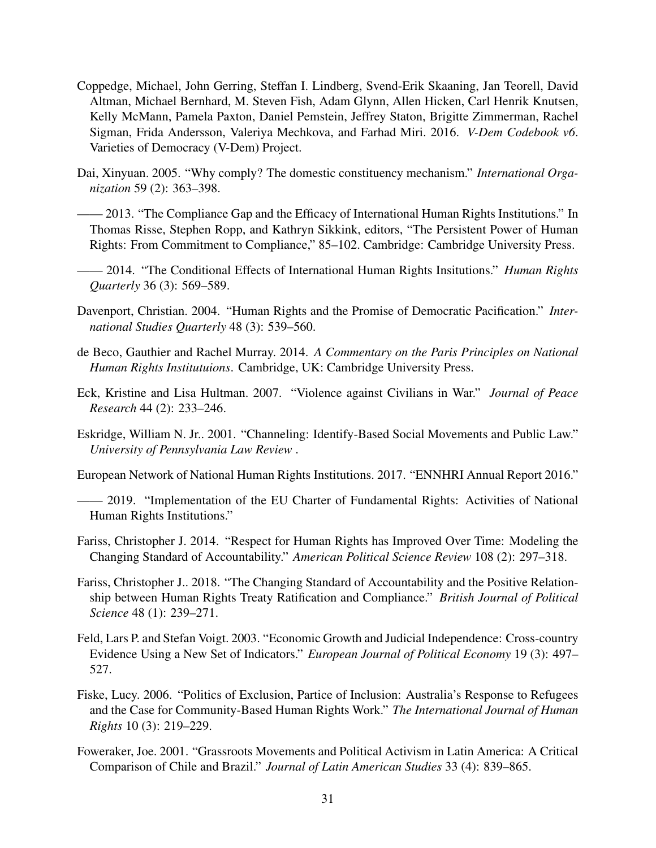- <span id="page-31-12"></span>Coppedge, Michael, John Gerring, Steffan I. Lindberg, Svend-Erik Skaaning, Jan Teorell, David Altman, Michael Bernhard, M. Steven Fish, Adam Glynn, Allen Hicken, Carl Henrik Knutsen, Kelly McMann, Pamela Paxton, Daniel Pemstein, Jeffrey Staton, Brigitte Zimmerman, Rachel Sigman, Frida Andersson, Valeriya Mechkova, and Farhad Miri. 2016. *V-Dem Codebook v6*. Varieties of Democracy (V-Dem) Project.
- <span id="page-31-4"></span>Dai, Xinyuan. 2005. "Why comply? The domestic constituency mechanism." *International Organization* 59 (2): 363–398.
- <span id="page-31-3"></span>—— 2013. "The Compliance Gap and the Efficacy of International Human Rights Institutions." In Thomas Risse, Stephen Ropp, and Kathryn Sikkink, editors, "The Persistent Power of Human Rights: From Commitment to Compliance," 85–102. Cambridge: Cambridge University Press.
- <span id="page-31-1"></span>—— 2014. "The Conditional Effects of International Human Rights Insitutions." *Human Rights Quarterly* 36 (3): 569–589.
- <span id="page-31-13"></span>Davenport, Christian. 2004. "Human Rights and the Promise of Democratic Pacification." *International Studies Quarterly* 48 (3): 539–560.
- <span id="page-31-9"></span>de Beco, Gauthier and Rachel Murray. 2014. *A Commentary on the Paris Principles on National Human Rights Institutuions*. Cambridge, UK: Cambridge University Press.
- <span id="page-31-11"></span>Eck, Kristine and Lisa Hultman. 2007. "Violence against Civilians in War." *Journal of Peace Research* 44 (2): 233–246.
- <span id="page-31-2"></span>Eskridge, William N. Jr.. 2001. "Channeling: Identify-Based Social Movements and Public Law." *University of Pennsylvania Law Review* .
- <span id="page-31-6"></span>European Network of National Human Rights Institutions. 2017. "ENNHRI Annual Report 2016."
- <span id="page-31-7"></span>—— 2019. "Implementation of the EU Charter of Fundamental Rights: Activities of National Human Rights Institutions."
- <span id="page-31-10"></span>Fariss, Christopher J. 2014. "Respect for Human Rights has Improved Over Time: Modeling the Changing Standard of Accountability." *American Political Science Review* 108 (2): 297–318.
- <span id="page-31-0"></span>Fariss, Christopher J.. 2018. "The Changing Standard of Accountability and the Positive Relationship between Human Rights Treaty Ratification and Compliance." *British Journal of Political Science* 48 (1): 239–271.
- <span id="page-31-14"></span>Feld, Lars P. and Stefan Voigt. 2003. "Economic Growth and Judicial Independence: Cross-country Evidence Using a New Set of Indicators." *European Journal of Political Economy* 19 (3): 497– 527.
- <span id="page-31-5"></span>Fiske, Lucy. 2006. "Politics of Exclusion, Partice of Inclusion: Australia's Response to Refugees and the Case for Community-Based Human Rights Work." *The International Journal of Human Rights* 10 (3): 219–229.
- <span id="page-31-8"></span>Foweraker, Joe. 2001. "Grassroots Movements and Political Activism in Latin America: A Critical Comparison of Chile and Brazil." *Journal of Latin American Studies* 33 (4): 839–865.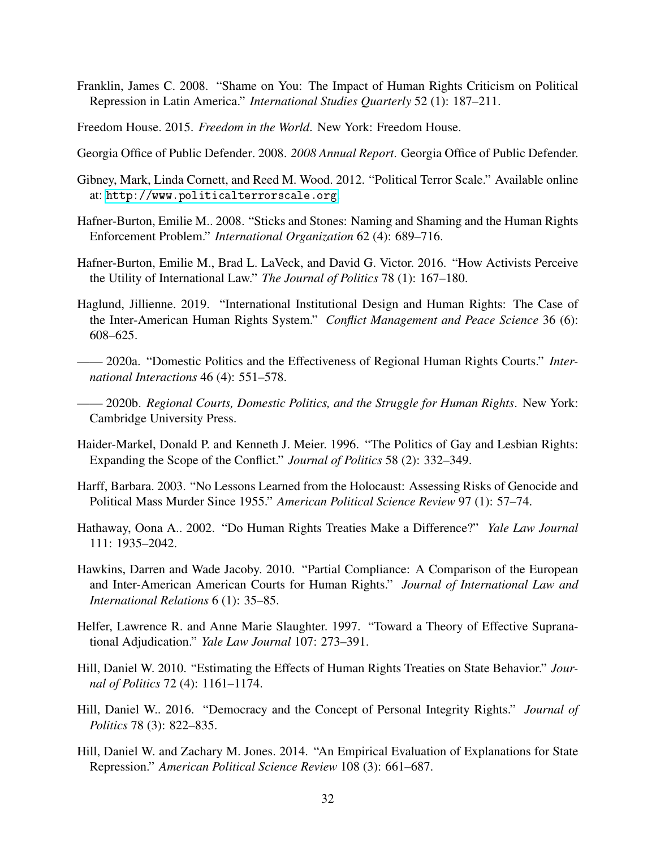- <span id="page-32-5"></span>Franklin, James C. 2008. "Shame on You: The Impact of Human Rights Criticism on Political Repression in Latin America." *International Studies Quarterly* 52 (1): 187–211.
- <span id="page-32-16"></span>Freedom House. 2015. *Freedom in the World*. New York: Freedom House.
- <span id="page-32-9"></span>Georgia Office of Public Defender. 2008. *2008 Annual Report*. Georgia Office of Public Defender.
- <span id="page-32-13"></span>Gibney, Mark, Linda Cornett, and Reed M. Wood. 2012. "Political Terror Scale." Available online at: <http://www.politicalterrorscale.org>.
- <span id="page-32-6"></span>Hafner-Burton, Emilie M.. 2008. "Sticks and Stones: Naming and Shaming and the Human Rights Enforcement Problem." *International Organization* 62 (4): 689–716.
- <span id="page-32-8"></span>Hafner-Burton, Emilie M., Brad L. LaVeck, and David G. Victor. 2016. "How Activists Perceive the Utility of International Law." *The Journal of Politics* 78 (1): 167–180.
- <span id="page-32-2"></span>Haglund, Jillienne. 2019. "International Institutional Design and Human Rights: The Case of the Inter-American Human Rights System." *Conflict Management and Peace Science* 36 (6): 608–625.
- <span id="page-32-4"></span>—— 2020a. "Domestic Politics and the Effectiveness of Regional Human Rights Courts." *International Interactions* 46 (4): 551–578.
- <span id="page-32-3"></span>—— 2020b. *Regional Courts, Domestic Politics, and the Struggle for Human Rights*. New York: Cambridge University Press.
- <span id="page-32-10"></span>Haider-Markel, Donald P. and Kenneth J. Meier. 1996. "The Politics of Gay and Lesbian Rights: Expanding the Scope of the Conflict." *Journal of Politics* 58 (2): 332–349.
- <span id="page-32-12"></span>Harff, Barbara. 2003. "No Lessons Learned from the Holocaust: Assessing Risks of Genocide and Political Mass Murder Since 1955." *American Political Science Review* 97 (1): 57–74.
- <span id="page-32-11"></span>Hathaway, Oona A.. 2002. "Do Human Rights Treaties Make a Difference?" *Yale Law Journal* 111: 1935–2042.
- <span id="page-32-7"></span>Hawkins, Darren and Wade Jacoby. 2010. "Partial Compliance: A Comparison of the European and Inter-American American Courts for Human Rights." *Journal of International Law and International Relations* 6 (1): 35–85.
- <span id="page-32-1"></span>Helfer, Lawrence R. and Anne Marie Slaughter. 1997. "Toward a Theory of Effective Supranational Adjudication." *Yale Law Journal* 107: 273–391.
- <span id="page-32-0"></span>Hill, Daniel W. 2010. "Estimating the Effects of Human Rights Treaties on State Behavior." *Journal of Politics* 72 (4): 1161–1174.
- <span id="page-32-15"></span>Hill, Daniel W.. 2016. "Democracy and the Concept of Personal Integrity Rights." *Journal of Politics* 78 (3): 822–835.
- <span id="page-32-14"></span>Hill, Daniel W. and Zachary M. Jones. 2014. "An Empirical Evaluation of Explanations for State Repression." *American Political Science Review* 108 (3): 661–687.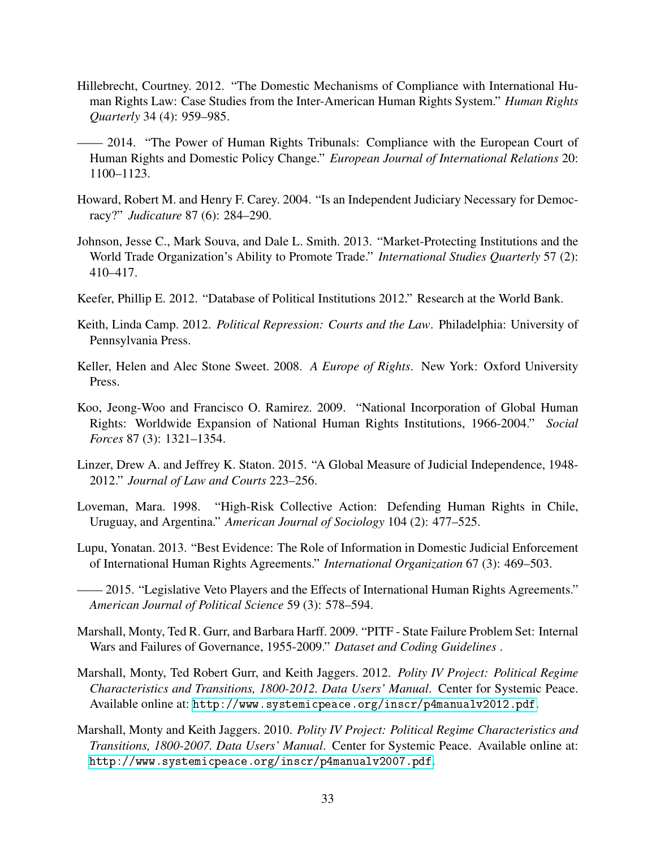- <span id="page-33-6"></span>Hillebrecht, Courtney. 2012. "The Domestic Mechanisms of Compliance with International Human Rights Law: Case Studies from the Inter-American Human Rights System." *Human Rights Quarterly* 34 (4): 959–985.
- <span id="page-33-1"></span>—— 2014. "The Power of Human Rights Tribunals: Compliance with the European Court of Human Rights and Domestic Policy Change." *European Journal of International Relations* 20: 1100–1123.
- <span id="page-33-11"></span>Howard, Robert M. and Henry F. Carey. 2004. "Is an Independent Judiciary Necessary for Democracy?" *Judicature* 87 (6): 284–290.
- <span id="page-33-14"></span>Johnson, Jesse C., Mark Souva, and Dale L. Smith. 2013. "Market-Protecting Institutions and the World Trade Organization's Ability to Promote Trade." *International Studies Quarterly* 57 (2): 410–417.
- <span id="page-33-4"></span>Keefer, Phillip E. 2012. "Database of Political Institutions 2012." Research at the World Bank.
- <span id="page-33-13"></span>Keith, Linda Camp. 2012. *Political Repression: Courts and the Law*. Philadelphia: University of Pennsylvania Press.
- <span id="page-33-3"></span>Keller, Helen and Alec Stone Sweet. 2008. *A Europe of Rights*. New York: Oxford University Press.
- <span id="page-33-2"></span>Koo, Jeong-Woo and Francisco O. Ramirez. 2009. "National Incorporation of Global Human Rights: Worldwide Expansion of National Human Rights Institutions, 1966-2004." *Social Forces* 87 (3): 1321–1354.
- <span id="page-33-9"></span>Linzer, Drew A. and Jeffrey K. Staton. 2015. "A Global Measure of Judicial Independence, 1948- 2012." *Journal of Law and Courts* 223–256.
- <span id="page-33-7"></span>Loveman, Mara. 1998. "High-Risk Collective Action: Defending Human Rights in Chile, Uruguay, and Argentina." *American Journal of Sociology* 104 (2): 477–525.
- <span id="page-33-5"></span>Lupu, Yonatan. 2013. "Best Evidence: The Role of Information in Domestic Judicial Enforcement of International Human Rights Agreements." *International Organization* 67 (3): 469–503.

<span id="page-33-0"></span>—— 2015. "Legislative Veto Players and the Effects of International Human Rights Agreements." *American Journal of Political Science* 59 (3): 578–594.

- <span id="page-33-8"></span>Marshall, Monty, Ted R. Gurr, and Barbara Harff. 2009. "PITF - State Failure Problem Set: Internal Wars and Failures of Governance, 1955-2009." *Dataset and Coding Guidelines* .
- <span id="page-33-10"></span>Marshall, Monty, Ted Robert Gurr, and Keith Jaggers. 2012. *Polity IV Project: Political Regime Characteristics and Transitions, 1800-2012. Data Users' Manual*. Center for Systemic Peace. Available online at: <http://www.systemicpeace.org/inscr/p4manualv2012.pdf>.
- <span id="page-33-12"></span>Marshall, Monty and Keith Jaggers. 2010. *Polity IV Project: Political Regime Characteristics and Transitions, 1800-2007. Data Users' Manual*. Center for Systemic Peace. Available online at: <http://www.systemicpeace.org/inscr/p4manualv2007.pdf>.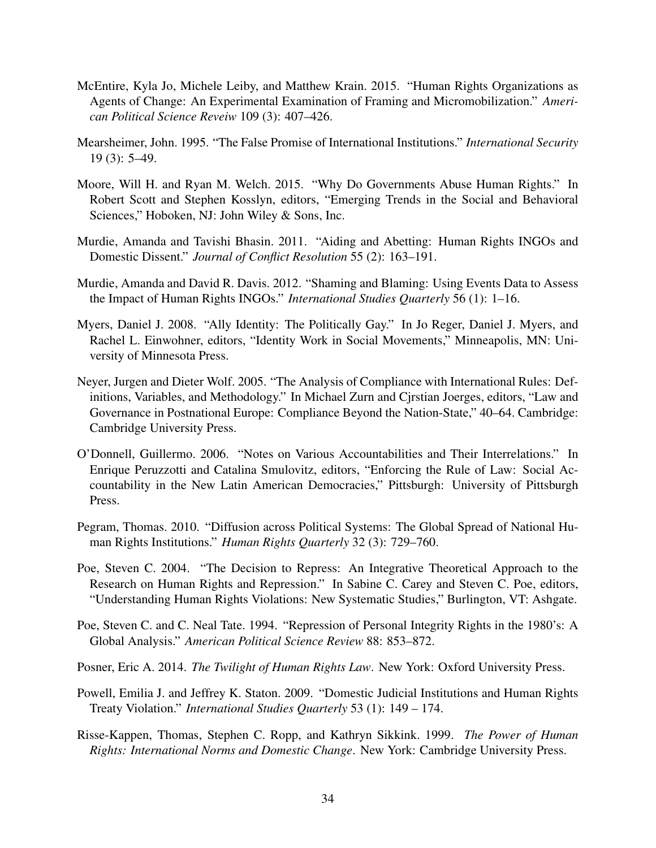- <span id="page-34-9"></span>McEntire, Kyla Jo, Michele Leiby, and Matthew Krain. 2015. "Human Rights Organizations as Agents of Change: An Experimental Examination of Framing and Micromobilization." *American Political Science Reveiw* 109 (3): 407–426.
- <span id="page-34-5"></span>Mearsheimer, John. 1995. "The False Promise of International Institutions." *International Security* 19 (3): 5–49.
- <span id="page-34-13"></span>Moore, Will H. and Ryan M. Welch. 2015. "Why Do Governments Abuse Human Rights." In Robert Scott and Stephen Kosslyn, editors, "Emerging Trends in the Social and Behavioral Sciences," Hoboken, NJ: John Wiley & Sons, Inc.
- <span id="page-34-1"></span>Murdie, Amanda and Tavishi Bhasin. 2011. "Aiding and Abetting: Human Rights INGOs and Domestic Dissent." *Journal of Conflict Resolution* 55 (2): 163–191.
- <span id="page-34-10"></span>Murdie, Amanda and David R. Davis. 2012. "Shaming and Blaming: Using Events Data to Assess the Impact of Human Rights INGOs." *International Studies Quarterly* 56 (1): 1–16.
- <span id="page-34-8"></span>Myers, Daniel J. 2008. "Ally Identity: The Politically Gay." In Jo Reger, Daniel J. Myers, and Rachel L. Einwohner, editors, "Identity Work in Social Movements," Minneapolis, MN: University of Minnesota Press.
- <span id="page-34-4"></span>Neyer, Jurgen and Dieter Wolf. 2005. "The Analysis of Compliance with International Rules: Definitions, Variables, and Methodology." In Michael Zurn and Cjrstian Joerges, editors, "Law and Governance in Postnational Europe: Compliance Beyond the Nation-State," 40–64. Cambridge: Cambridge University Press.
- <span id="page-34-12"></span>O'Donnell, Guillermo. 2006. "Notes on Various Accountabilities and Their Interrelations." In Enrique Peruzzotti and Catalina Smulovitz, editors, "Enforcing the Rule of Law: Social Accountability in the New Latin American Democracies," Pittsburgh: University of Pittsburgh Press.
- <span id="page-34-3"></span>Pegram, Thomas. 2010. "Diffusion across Political Systems: The Global Spread of National Human Rights Institutions." *Human Rights Quarterly* 32 (3): 729–760.
- <span id="page-34-7"></span>Poe, Steven C. 2004. "The Decision to Repress: An Integrative Theoretical Approach to the Research on Human Rights and Repression." In Sabine C. Carey and Steven C. Poe, editors, "Understanding Human Rights Violations: New Systematic Studies," Burlington, VT: Ashgate.
- <span id="page-34-11"></span>Poe, Steven C. and C. Neal Tate. 1994. "Repression of Personal Integrity Rights in the 1980's: A Global Analysis." *American Political Science Review* 88: 853–872.
- <span id="page-34-6"></span>Posner, Eric A. 2014. *The Twilight of Human Rights Law*. New York: Oxford University Press.
- <span id="page-34-0"></span>Powell, Emilia J. and Jeffrey K. Staton. 2009. "Domestic Judicial Institutions and Human Rights Treaty Violation." *International Studies Quarterly* 53 (1): 149 – 174.
- <span id="page-34-2"></span>Risse-Kappen, Thomas, Stephen C. Ropp, and Kathryn Sikkink. 1999. *The Power of Human Rights: International Norms and Domestic Change*. New York: Cambridge University Press.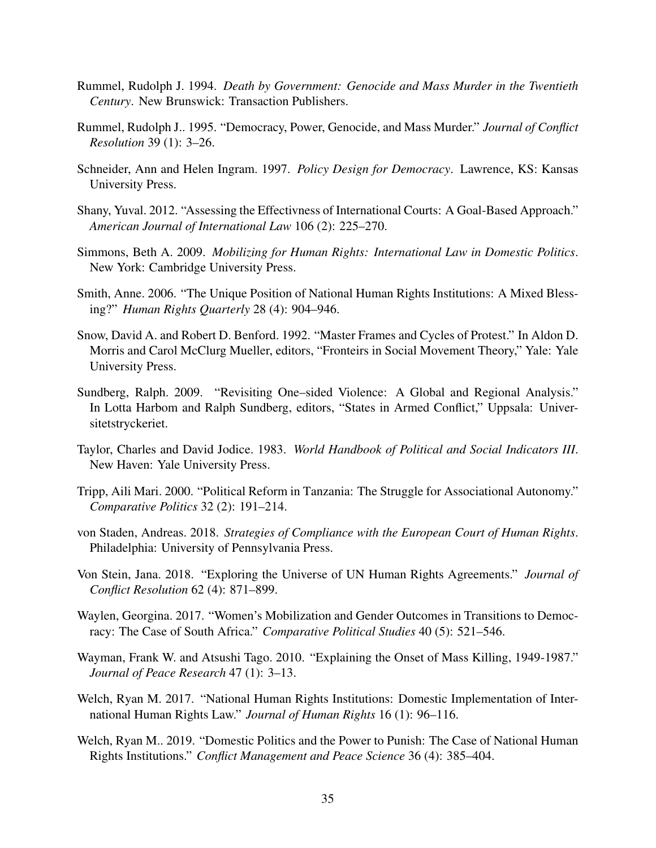- <span id="page-35-12"></span>Rummel, Rudolph J. 1994. *Death by Government: Genocide and Mass Murder in the Twentieth Century*. New Brunswick: Transaction Publishers.
- <span id="page-35-13"></span>Rummel, Rudolph J.. 1995. "Democracy, Power, Genocide, and Mass Murder." *Journal of Conflict Resolution* 39 (1): 3–26.
- <span id="page-35-7"></span>Schneider, Ann and Helen Ingram. 1997. *Policy Design for Democracy*. Lawrence, KS: Kansas University Press.
- <span id="page-35-4"></span>Shany, Yuval. 2012. "Assessing the Effectivness of International Courts: A Goal-Based Approach." *American Journal of International Law* 106 (2): 225–270.
- <span id="page-35-0"></span>Simmons, Beth A. 2009. *Mobilizing for Human Rights: International Law in Domestic Politics*. New York: Cambridge University Press.
- <span id="page-35-8"></span>Smith, Anne. 2006. "The Unique Position of National Human Rights Institutions: A Mixed Blessing?" *Human Rights Quarterly* 28 (4): 904–946.
- <span id="page-35-6"></span>Snow, David A. and Robert D. Benford. 1992. "Master Frames and Cycles of Protest." In Aldon D. Morris and Carol McClurg Mueller, editors, "Fronteirs in Social Movement Theory," Yale: Yale University Press.
- <span id="page-35-14"></span>Sundberg, Ralph. 2009. "Revisiting One–sided Violence: A Global and Regional Analysis." In Lotta Harbom and Ralph Sundberg, editors, "States in Armed Conflict," Uppsala: Universitetstryckeriet.
- <span id="page-35-11"></span>Taylor, Charles and David Jodice. 1983. *World Handbook of Political and Social Indicators III*. New Haven: Yale University Press.
- <span id="page-35-5"></span>Tripp, Aili Mari. 2000. "Political Reform in Tanzania: The Struggle for Associational Autonomy." *Comparative Politics* 32 (2): 191–214.
- <span id="page-35-3"></span>von Staden, Andreas. 2018. *Strategies of Compliance with the European Court of Human Rights*. Philadelphia: University of Pennsylvania Press.
- <span id="page-35-1"></span>Von Stein, Jana. 2018. "Exploring the Universe of UN Human Rights Agreements." *Journal of Conflict Resolution* 62 (4): 871–899.
- <span id="page-35-9"></span>Waylen, Georgina. 2017. "Women's Mobilization and Gender Outcomes in Transitions to Democracy: The Case of South Africa." *Comparative Political Studies* 40 (5): 521–546.
- <span id="page-35-15"></span>Wayman, Frank W. and Atsushi Tago. 2010. "Explaining the Onset of Mass Killing, 1949-1987." *Journal of Peace Research* 47 (1): 3–13.
- <span id="page-35-2"></span>Welch, Ryan M. 2017. "National Human Rights Institutions: Domestic Implementation of International Human Rights Law." *Journal of Human Rights* 16 (1): 96–116.
- <span id="page-35-10"></span>Welch, Ryan M.. 2019. "Domestic Politics and the Power to Punish: The Case of National Human Rights Institutions." *Conflict Management and Peace Science* 36 (4): 385–404.